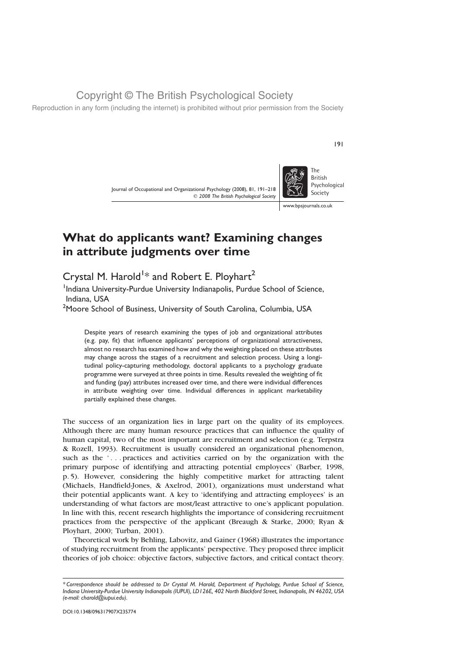Reproduction in any form (including the internet) is prohibited without prior permission from the Society

Journal of Occupational and Organizational Psychology (2008), 81, 191–218  $©$  2008 The British Psychological Society



191

www.bpsjournals.co.uk

# What do applicants want? Examining changes in attribute judgments over time

Crystal M. Harold $^{1\ast}$  and Robert E. Ployhart $^{2}$ 

<sup>1</sup>Indiana University-Purdue University Indianapolis, Purdue School of Science, Indiana, USA

 $^2$ Moore School of Business, University of South Carolina, Columbia, USA

Despite years of research examining the types of job and organizational attributes (e.g. pay, fit) that influence applicants' perceptions of organizational attractiveness, almost no research has examined how and why the weighting placed on these attributes may change across the stages of a recruitment and selection process. Using a longitudinal policy-capturing methodology, doctoral applicants to a psychology graduate programme were surveyed at three points in time. Results revealed the weighting of fit and funding (pay) attributes increased over time, and there were individual differences in attribute weighting over time. Individual differences in applicant marketability partially explained these changes.

The success of an organization lies in large part on the quality of its employees. Although there are many human resource practices that can influence the quality of human capital, two of the most important are recruitment and selection (e.g. Terpstra & Rozell, 1993). Recruitment is usually considered an organizational phenomenon, such as the '... practices and activities carried on by the organization with the primary purpose of identifying and attracting potential employees' (Barber, 1998, p. 5). However, considering the highly competitive market for attracting talent (Michaels, Handfield-Jones, & Axelrod, 2001), organizations must understand what their potential applicants want. A key to 'identifying and attracting employees' is an understanding of what factors are most/least attractive to one's applicant population. In line with this, recent research highlights the importance of considering recruitment practices from the perspective of the applicant (Breaugh & Starke, 2000; Ryan & Ployhart, 2000; Turban, 2001).

Theoretical work by Behling, Labovitz, and Gainer (1968) illustrates the importance of studying recruitment from the applicants' perspective. They proposed three implicit theories of job choice: objective factors, subjective factors, and critical contact theory.

<sup>\*</sup> Correspondence should be addressed to Dr Crystal M. Harold, Department of Psychology, Purdue School of Science, Indiana University-Purdue University Indianapolis (IUPUI), LD126E, 402 North Blackford Street, Indianapolis, IN 46202, USA (e-mail: charold@iupui.edu).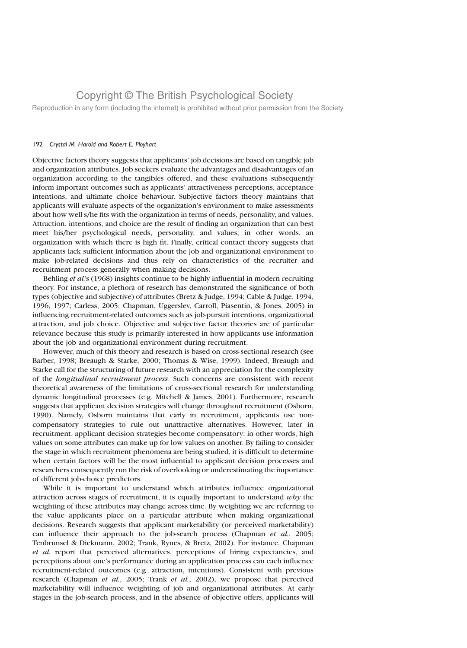Reproduction in any form (including the internet) is prohibited without prior permission from the Society

#### 192 Crystal M. Harold and Robert E. Ployhart

Objective factors theory suggests that applicants' job decisions are based on tangible job and organization attributes. Job seekers evaluate the advantages and disadvantages of an organization according to the tangibles offered, and these evaluations subsequently inform important outcomes such as applicants' attractiveness perceptions, acceptance intentions, and ultimate choice behaviour. Subjective factors theory maintains that applicants will evaluate aspects of the organization's environment to make assessments about how well s/he fits with the organization in terms of needs, personality, and values. Attraction, intentions, and choice are the result of finding an organization that can best meet his/her psychological needs, personality, and values; in other words, an organization with which there is high fit. Finally, critical contact theory suggests that applicants lack sufficient information about the job and organizational environment to make job-related decisions and thus rely on characteristics of the recruiter and recruitment process generally when making decisions.

Behling *et al.*'s (1968) insights continue to be highly influential in modern recruiting theory. For instance, a plethora of research has demonstrated the significance of both types (objective and subjective) of attributes (Bretz & Judge, 1994; Cable & Judge, 1994, 1996, 1997; Carless, 2005; Chapman, Uggerslev, Carroll, Piasentin, & Jones, 2005) in influencing recruitment-related outcomes such as job-pursuit intentions, organizational attraction, and job choice. Objective and subjective factor theories are of particular relevance because this study is primarily interested in how applicants use information about the job and organizational environment during recruitment.

However, much of this theory and research is based on cross-sectional research (see Barber, 1998; Breaugh & Starke, 2000; Thomas & Wise, 1999). Indeed, Breaugh and Starke call for the structuring of future research with an appreciation for the complexity of the longitudinal recruitment process. Such concerns are consistent with recent theoretical awareness of the limitations of cross-sectional research for understanding dynamic longitudinal processes (e.g. Mitchell & James, 2001). Furthermore, research suggests that applicant decision strategies will change throughout recruitment (Osborn, 1990). Namely, Osborn maintains that early in recruitment, applicants use noncompensatory strategies to rule out unattractive alternatives. However, later in recruitment, applicant decision strategies become compensatory; in other words, high values on some attributes can make up for low values on another. By failing to consider the stage in which recruitment phenomena are being studied, it is difficult to determine when certain factors will be the most influential to applicant decision processes and researchers consequently run the risk of overlooking or underestimating the importance of different job-choice predictors.

While it is important to understand which attributes influence organizational attraction across stages of recruitment, it is equally important to understand  $wby$  the weighting of these attributes may change across time. By weighting we are referring to the value applicants place on a particular attribute when making organizational decisions. Research suggests that applicant marketability (or perceived marketability) can influence their approach to the job-search process (Chapman  $et$   $al$ , 2005; Tenbrunsel & Diekmann, 2002; Trank, Rynes, & Bretz, 2002). For instance, Chapman et al. report that perceived alternatives, perceptions of hiring expectancies, and perceptions about one's performance during an application process can each influence recruitment-related outcomes (e.g. attraction, intentions). Consistent with previous research (Chapman et al., 2005; Trank et al., 2002), we propose that perceived marketability will influence weighting of job and organizational attributes. At early stages in the job-search process, and in the absence of objective offers, applicants will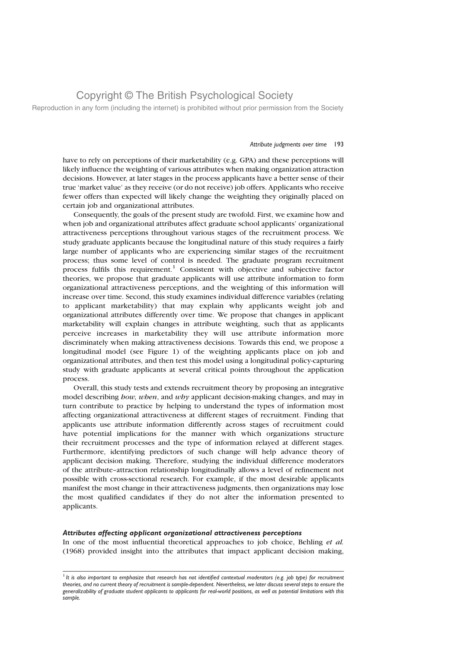Reproduction in any form (including the internet) is prohibited without prior permission from the Society

#### Attribute judgments over time 193

have to rely on perceptions of their marketability (e.g. GPA) and these perceptions will likely influence the weighting of various attributes when making organization attraction decisions. However, at later stages in the process applicants have a better sense of their true 'market value' as they receive (or do not receive) job offers. Applicants who receive fewer offers than expected will likely change the weighting they originally placed on certain job and organizational attributes.

Consequently, the goals of the present study are twofold. First, we examine how and when job and organizational attributes affect graduate school applicants' organizational attractiveness perceptions throughout various stages of the recruitment process. We study graduate applicants because the longitudinal nature of this study requires a fairly large number of applicants who are experiencing similar stages of the recruitment process; thus some level of control is needed. The graduate program recruitment process fulfils this requirement.<sup>1</sup> Consistent with objective and subjective factor theories, we propose that graduate applicants will use attribute information to form organizational attractiveness perceptions, and the weighting of this information will increase over time. Second, this study examines individual difference variables (relating to applicant marketability) that may explain why applicants weight job and organizational attributes differently over time. We propose that changes in applicant marketability will explain changes in attribute weighting, such that as applicants perceive increases in marketability they will use attribute information more discriminately when making attractiveness decisions. Towards this end, we propose a longitudinal model (see Figure 1) of the weighting applicants place on job and organizational attributes, and then test this model using a longitudinal policy-capturing study with graduate applicants at several critical points throughout the application process.

Overall, this study tests and extends recruitment theory by proposing an integrative model describing *how, when*, and *why* applicant decision-making changes, and may in turn contribute to practice by helping to understand the types of information most affecting organizational attractiveness at different stages of recruitment. Finding that applicants use attribute information differently across stages of recruitment could have potential implications for the manner with which organizations structure their recruitment processes and the type of information relayed at different stages. Furthermore, identifying predictors of such change will help advance theory of applicant decision making. Therefore, studying the individual difference moderators of the attribute–attraction relationship longitudinally allows a level of refinement not possible with cross-sectional research. For example, if the most desirable applicants manifest the most change in their attractiveness judgments, then organizations may lose the most qualified candidates if they do not alter the information presented to applicants.

#### Attributes affecting applicant organizational attractiveness perceptions

In one of the most influential theoretical approaches to job choice, Behling et al. (1968) provided insight into the attributes that impact applicant decision making,

 $<sup>1</sup>$  It is also important to emphasize that research has not identified contextual moderators (e.g. job type) for recruitment</sup> theories, and no current theory of recruitment is sample-dependent. Nevertheless, we later discuss several steps to ensure the generalizability of graduate student applicants to applicants for real-world positions, as well as potential limitations with this sample.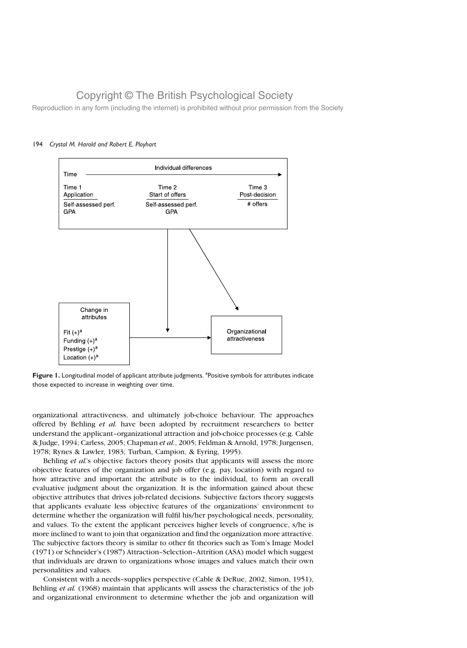Reproduction in any form (including the internet) is prohibited without prior permission from the Society



### 194 Crystal M. Harold and Robert E. Ployhart

Figure 1. Longitudinal model of applicant attribute judgments. <sup>a</sup>Positive symbols for attributes indicate those expected to increase in weighting over time.

organizational attractiveness, and ultimately job-choice behaviour. The approaches offered by Behling et al. have been adopted by recruitment researchers to better understand the applicant–organizational attraction and job-choice processes (e.g. Cable & Judge, 1994; Carless, 2005; Chapman et al., 2005; Feldman & Arnold, 1978; Jurgensen, 1978; Rynes & Lawler, 1983; Turban, Campion, & Eyring, 1995).

Behling et al.'s objective factors theory posits that applicants will assess the more objective features of the organization and job offer (e.g. pay, location) with regard to how attractive and important the attribute is to the individual, to form an overall evaluative judgment about the organization. It is the information gained about these objective attributes that drives job-related decisions. Subjective factors theory suggests that applicants evaluate less objective features of the organizations' environment to determine whether the organization will fulfil his/her psychological needs, personality, and values. To the extent the applicant perceives higher levels of congruence, s/he is more inclined to want to join that organization and find the organization more attractive. The subjective factors theory is similar to other fit theories such as Tom's Image Model (1971) or Schneider's (1987) Attraction–Selection–Attrition (ASA) model which suggest that individuals are drawn to organizations whose images and values match their own personalities and values.

Consistent with a needs–supplies perspective (Cable & DeRue, 2002, Simon, 1951), Behling et al. (1968) maintain that applicants will assess the characteristics of the job and organizational environment to determine whether the job and organization will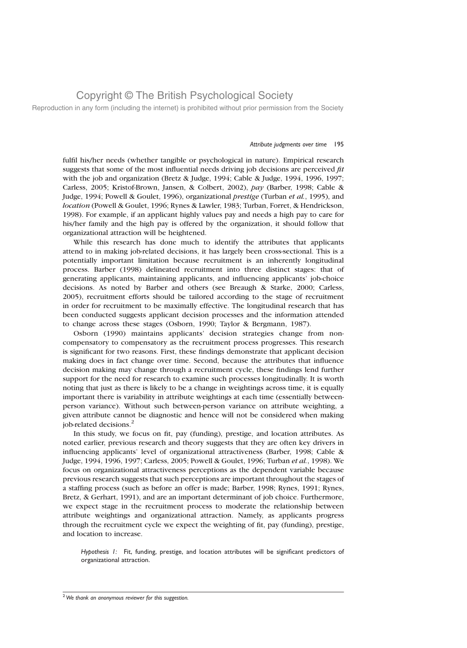Reproduction in any form (including the internet) is prohibited without prior permission from the Society

#### Attribute judgments over time 195

fulfil his/her needs (whether tangible or psychological in nature). Empirical research suggests that some of the most influential needs driving job decisions are perceived  $fit$ with the job and organization (Bretz & Judge, 1994; Cable & Judge, 1994, 1996, 1997; Carless, 2005; Kristof-Brown, Jansen, & Colbert, 2002), pay (Barber, 1998; Cable & Judge, 1994; Powell & Goulet, 1996), organizational prestige (Turban et al., 1995), and location (Powell & Goulet, 1996; Rynes & Lawler, 1983; Turban, Forret, & Hendrickson, 1998). For example, if an applicant highly values pay and needs a high pay to care for his/her family and the high pay is offered by the organization, it should follow that organizational attraction will be heightened.

While this research has done much to identify the attributes that applicants attend to in making job-related decisions, it has largely been cross-sectional. This is a potentially important limitation because recruitment is an inherently longitudinal process. Barber (1998) delineated recruitment into three distinct stages: that of generating applicants, maintaining applicants, and influencing applicants' job-choice decisions. As noted by Barber and others (see Breaugh & Starke, 2000; Carless, 2005), recruitment efforts should be tailored according to the stage of recruitment in order for recruitment to be maximally effective. The longitudinal research that has been conducted suggests applicant decision processes and the information attended to change across these stages (Osborn, 1990; Taylor & Bergmann, 1987).

Osborn (1990) maintains applicants' decision strategies change from noncompensatory to compensatory as the recruitment process progresses. This research is significant for two reasons. First, these findings demonstrate that applicant decision making does in fact change over time. Second, because the attributes that influence decision making may change through a recruitment cycle, these findings lend further support for the need for research to examine such processes longitudinally. It is worth noting that just as there is likely to be a change in weightings across time, it is equally important there is variability in attribute weightings at each time (essentially betweenperson variance). Without such between-person variance on attribute weighting, a given attribute cannot be diagnostic and hence will not be considered when making job-related decisions.<sup>2</sup>

In this study, we focus on fit, pay (funding), prestige, and location attributes. As noted earlier, previous research and theory suggests that they are often key drivers in influencing applicants' level of organizational attractiveness (Barber, 1998; Cable & Judge, 1994, 1996, 1997; Carless, 2005; Powell & Goulet, 1996; Turban et al., 1998). We focus on organizational attractiveness perceptions as the dependent variable because previous research suggests that such perceptions are important throughout the stages of a staffing process (such as before an offer is made; Barber, 1998; Rynes, 1991; Rynes, Bretz, & Gerhart, 1991), and are an important determinant of job choice. Furthermore, we expect stage in the recruitment process to moderate the relationship between attribute weightings and organizational attraction. Namely, as applicants progress through the recruitment cycle we expect the weighting of fit, pay (funding), prestige, and location to increase.

Hypothesis 1: Fit, funding, prestige, and location attributes will be significant predictors of organizational attraction.

 $2$  We thank an anonymous reviewer for this suggestion.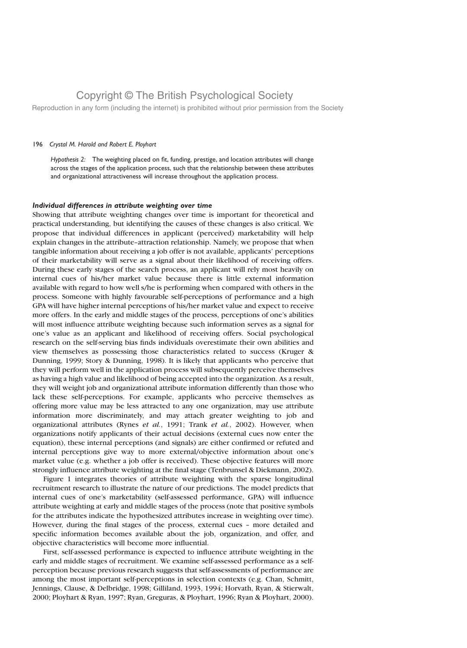Reproduction in any form (including the internet) is prohibited without prior permission from the Society

#### 196 Crystal M. Harold and Robert E. Ployhart

Hypothesis 2: The weighting placed on fit, funding, prestige, and location attributes will change across the stages of the application process, such that the relationship between these attributes and organizational attractiveness will increase throughout the application process.

#### Individual differences in attribute weighting over time

Showing that attribute weighting changes over time is important for theoretical and practical understanding, but identifying the causes of these changes is also critical. We propose that individual differences in applicant (perceived) marketability will help explain changes in the attribute–attraction relationship. Namely, we propose that when tangible information about receiving a job offer is not available, applicants' perceptions of their marketability will serve as a signal about their likelihood of receiving offers. During these early stages of the search process, an applicant will rely most heavily on internal cues of his/her market value because there is little external information available with regard to how well s/he is performing when compared with others in the process. Someone with highly favourable self-perceptions of performance and a high GPA will have higher internal perceptions of his/her market value and expect to receive more offers. In the early and middle stages of the process, perceptions of one's abilities will most influence attribute weighting because such information serves as a signal for one's value as an applicant and likelihood of receiving offers. Social psychological research on the self-serving bias finds individuals overestimate their own abilities and view themselves as possessing those characteristics related to success (Kruger & Dunning, 1999; Story & Dunning, 1998). It is likely that applicants who perceive that they will perform well in the application process will subsequently perceive themselves as having a high value and likelihood of being accepted into the organization. As a result, they will weight job and organizational attribute information differently than those who lack these self-perceptions. For example, applicants who perceive themselves as offering more value may be less attracted to any one organization, may use attribute information more discriminately, and may attach greater weighting to job and organizational attributes (Rynes et al., 1991; Trank et al., 2002). However, when organizations notify applicants of their actual decisions (external cues now enter the equation), these internal perceptions (and signals) are either confirmed or refuted and internal perceptions give way to more external/objective information about one's market value (e.g. whether a job offer is received). These objective features will more strongly influence attribute weighting at the final stage (Tenbrunsel & Diekmann, 2002).

Figure 1 integrates theories of attribute weighting with the sparse longitudinal recruitment research to illustrate the nature of our predictions. The model predicts that internal cues of one's marketability (self-assessed performance, GPA) will influence attribute weighting at early and middle stages of the process (note that positive symbols for the attributes indicate the hypothesized attributes increase in weighting over time). However, during the final stages of the process, external cues – more detailed and specific information becomes available about the job, organization, and offer, and objective characteristics will become more influential.

First, self-assessed performance is expected to influence attribute weighting in the early and middle stages of recruitment. We examine self-assessed performance as a selfperception because previous research suggests that self-assessments of performance are among the most important self-perceptions in selection contexts (e.g. Chan, Schmitt, Jennings, Clause, & Delbridge, 1998; Gilliland, 1993, 1994; Horvath, Ryan, & Stierwalt, 2000; Ployhart & Ryan, 1997; Ryan, Greguras, & Ployhart, 1996; Ryan & Ployhart, 2000).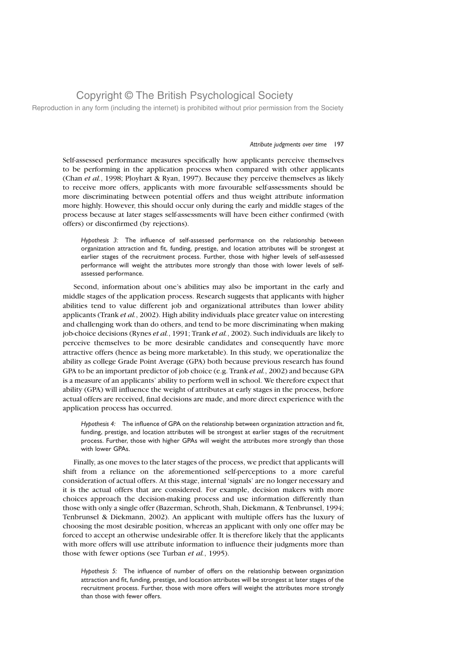Reproduction in any form (including the internet) is prohibited without prior permission from the Society

#### Attribute judgments over time 197

Self-assessed performance measures specifically how applicants perceive themselves to be performing in the application process when compared with other applicants (Chan et al., 1998; Ployhart & Ryan, 1997). Because they perceive themselves as likely to receive more offers, applicants with more favourable self-assessments should be more discriminating between potential offers and thus weight attribute information more highly. However, this should occur only during the early and middle stages of the process because at later stages self-assessments will have been either confirmed (with offers) or disconfirmed (by rejections).

Hypothesis 3: The influence of self-assessed performance on the relationship between organization attraction and fit, funding, prestige, and location attributes will be strongest at earlier stages of the recruitment process. Further, those with higher levels of self-assessed performance will weight the attributes more strongly than those with lower levels of selfassessed performance.

Second, information about one's abilities may also be important in the early and middle stages of the application process. Research suggests that applicants with higher abilities tend to value different job and organizational attributes than lower ability applicants (Trank et al., 2002). High ability individuals place greater value on interesting and challenging work than do others, and tend to be more discriminating when making job-choice decisions (Rynes et al., 1991; Trank et al., 2002). Such individuals are likely to perceive themselves to be more desirable candidates and consequently have more attractive offers (hence as being more marketable). In this study, we operationalize the ability as college Grade Point Average (GPA) both because previous research has found GPA to be an important predictor of job choice (e.g. Trank et al., 2002) and because GPA is a measure of an applicants' ability to perform well in school. We therefore expect that ability (GPA) will influence the weight of attributes at early stages in the process, before actual offers are received, final decisions are made, and more direct experience with the application process has occurred.

Hypothesis 4: The influence of GPA on the relationship between organization attraction and fit, funding, prestige, and location attributes will be strongest at earlier stages of the recruitment process. Further, those with higher GPAs will weight the attributes more strongly than those with lower GPAs.

Finally, as one moves to the later stages of the process, we predict that applicants will shift from a reliance on the aforementioned self-perceptions to a more careful consideration of actual offers. At this stage, internal 'signals' are no longer necessary and it is the actual offers that are considered. For example, decision makers with more choices approach the decision-making process and use information differently than those with only a single offer (Bazerman, Schroth, Shah, Diekmann, & Tenbrunsel, 1994; Tenbrunsel & Diekmann, 2002). An applicant with multiple offers has the luxury of choosing the most desirable position, whereas an applicant with only one offer may be forced to accept an otherwise undesirable offer. It is therefore likely that the applicants with more offers will use attribute information to influence their judgments more than those with fewer options (see Turban et al., 1995).

Hypothesis 5: The influence of number of offers on the relationship between organization attraction and fit, funding, prestige, and location attributes will be strongest at later stages of the recruitment process. Further, those with more offers will weight the attributes more strongly than those with fewer offers.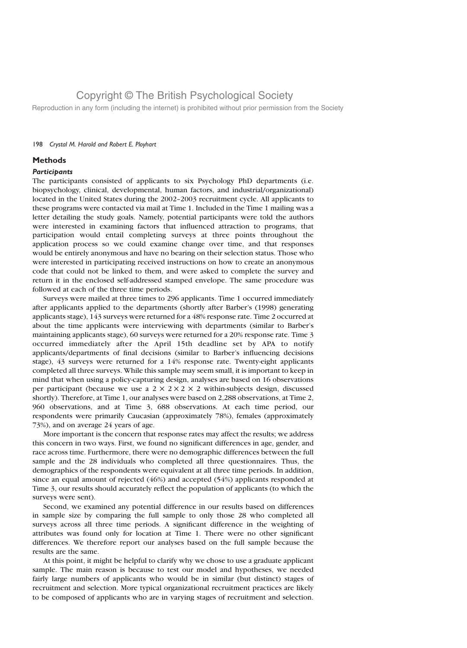Reproduction in any form (including the internet) is prohibited without prior permission from the Society

#### 198 Crystal M. Harold and Robert E. Ployhart

### **Methods**

#### **Participants**

The participants consisted of applicants to six Psychology PhD departments (i.e. biopsychology, clinical, developmental, human factors, and industrial/organizational) located in the United States during the 2002–2003 recruitment cycle. All applicants to these programs were contacted via mail at Time 1. Included in the Time 1 mailing was a letter detailing the study goals. Namely, potential participants were told the authors were interested in examining factors that influenced attraction to programs, that participation would entail completing surveys at three points throughout the application process so we could examine change over time, and that responses would be entirely anonymous and have no bearing on their selection status. Those who were interested in participating received instructions on how to create an anonymous code that could not be linked to them, and were asked to complete the survey and return it in the enclosed self-addressed stamped envelope. The same procedure was followed at each of the three time periods.

Surveys were mailed at three times to 296 applicants. Time 1 occurred immediately after applicants applied to the departments (shortly after Barber's (1998) generating applicants stage), 143 surveys were returned for a 48% response rate. Time 2 occurred at about the time applicants were interviewing with departments (similar to Barber's maintaining applicants stage), 60 surveys were returned for a 20% response rate. Time 3 occurred immediately after the April 15th deadline set by APA to notify applicants/departments of final decisions (similar to Barber's influencing decisions stage), 43 surveys were returned for a 14% response rate. Twenty-eight applicants completed all three surveys. While this sample may seem small, it is important to keep in mind that when using a policy-capturing design, analyses are based on 16 observations per participant (because we use a  $2 \times 2 \times 2 \times 2$  within-subjects design, discussed shortly). Therefore, at Time 1, our analyses were based on 2,288 observations, at Time 2, 960 observations, and at Time 3, 688 observations. At each time period, our respondents were primarily Caucasian (approximately 78%), females (approximately 73%), and on average 24 years of age.

More important is the concern that response rates may affect the results; we address this concern in two ways. First, we found no significant differences in age, gender, and race across time. Furthermore, there were no demographic differences between the full sample and the 28 individuals who completed all three questionnaires. Thus, the demographics of the respondents were equivalent at all three time periods. In addition, since an equal amount of rejected (46%) and accepted (54%) applicants responded at Time 3, our results should accurately reflect the population of applicants (to which the surveys were sent).

Second, we examined any potential difference in our results based on differences in sample size by comparing the full sample to only those 28 who completed all surveys across all three time periods. A significant difference in the weighting of attributes was found only for location at Time 1. There were no other significant differences. We therefore report our analyses based on the full sample because the results are the same.

At this point, it might be helpful to clarify why we chose to use a graduate applicant sample. The main reason is because to test our model and hypotheses, we needed fairly large numbers of applicants who would be in similar (but distinct) stages of recruitment and selection. More typical organizational recruitment practices are likely to be composed of applicants who are in varying stages of recruitment and selection.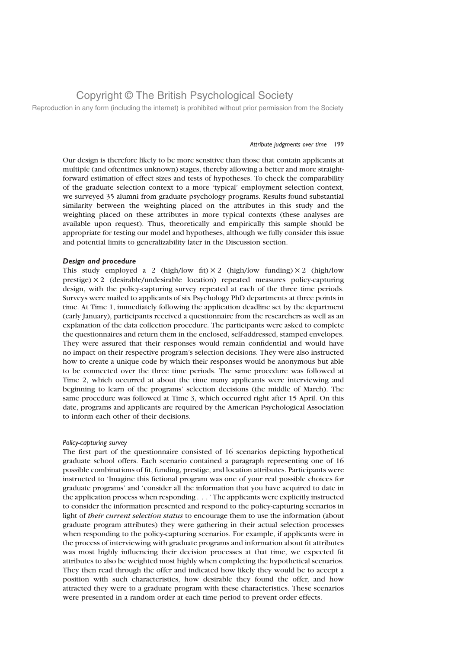Reproduction in any form (including the internet) is prohibited without prior permission from the Society

#### Attribute judgments over time 199

Our design is therefore likely to be more sensitive than those that contain applicants at multiple (and oftentimes unknown) stages, thereby allowing a better and more straightforward estimation of effect sizes and tests of hypotheses. To check the comparability of the graduate selection context to a more 'typical' employment selection context, we surveyed 35 alumni from graduate psychology programs. Results found substantial similarity between the weighting placed on the attributes in this study and the weighting placed on these attributes in more typical contexts (these analyses are available upon request). Thus, theoretically and empirically this sample should be appropriate for testing our model and hypotheses, although we fully consider this issue and potential limits to generalizability later in the Discussion section.

#### Design and procedure

This study employed a 2 (high/low fit)  $\times$  2 (high/low funding)  $\times$  2 (high/low  $precise)$   $\times$  2 (desirable/undesirable location) repeated measures policy-capturing design, with the policy-capturing survey repeated at each of the three time periods. Surveys were mailed to applicants of six Psychology PhD departments at three points in time. At Time 1, immediately following the application deadline set by the department (early January), participants received a questionnaire from the researchers as well as an explanation of the data collection procedure. The participants were asked to complete the questionnaires and return them in the enclosed, self-addressed, stamped envelopes. They were assured that their responses would remain confidential and would have no impact on their respective program's selection decisions. They were also instructed how to create a unique code by which their responses would be anonymous but able to be connected over the three time periods. The same procedure was followed at Time 2, which occurred at about the time many applicants were interviewing and beginning to learn of the programs' selection decisions (the middle of March). The same procedure was followed at Time 3, which occurred right after 15 April. On this date, programs and applicants are required by the American Psychological Association to inform each other of their decisions.

#### Policy-capturing survey

The first part of the questionnaire consisted of 16 scenarios depicting hypothetical graduate school offers. Each scenario contained a paragraph representing one of 16 possible combinations of fit, funding, prestige, and location attributes. Participants were instructed to 'Imagine this fictional program was one of your real possible choices for graduate programs' and 'consider all the information that you have acquired to date in the application process when responding . . . ' The applicants were explicitly instructed to consider the information presented and respond to the policy-capturing scenarios in light of their current selection status to encourage them to use the information (about graduate program attributes) they were gathering in their actual selection processes when responding to the policy-capturing scenarios. For example, if applicants were in the process of interviewing with graduate programs and information about fit attributes was most highly influencing their decision processes at that time, we expected fit attributes to also be weighted most highly when completing the hypothetical scenarios. They then read through the offer and indicated how likely they would be to accept a position with such characteristics, how desirable they found the offer, and how attracted they were to a graduate program with these characteristics. These scenarios were presented in a random order at each time period to prevent order effects.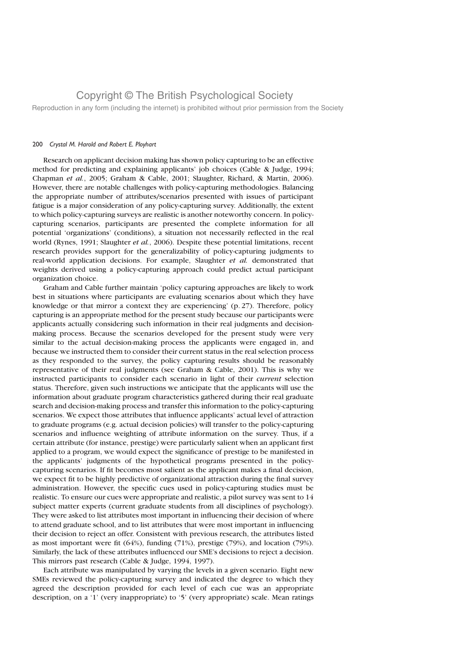Reproduction in any form (including the internet) is prohibited without prior permission from the Society

#### 200 Crystal M. Harold and Robert E. Ployhart

Research on applicant decision making has shown policy capturing to be an effective method for predicting and explaining applicants' job choices (Cable & Judge, 1994; Chapman et al., 2005; Graham & Cable, 2001; Slaughter, Richard, & Martin, 2006). However, there are notable challenges with policy-capturing methodologies. Balancing the appropriate number of attributes/scenarios presented with issues of participant fatigue is a major consideration of any policy-capturing survey. Additionally, the extent to which policy-capturing surveys are realistic is another noteworthy concern. In policycapturing scenarios, participants are presented the complete information for all potential 'organizations' (conditions), a situation not necessarily reflected in the real world (Rynes, 1991; Slaughter et al., 2006). Despite these potential limitations, recent research provides support for the generalizability of policy-capturing judgments to real-world application decisions. For example, Slaughter et al. demonstrated that weights derived using a policy-capturing approach could predict actual participant organization choice.

Graham and Cable further maintain 'policy capturing approaches are likely to work best in situations where participants are evaluating scenarios about which they have knowledge or that mirror a context they are experiencing' (p. 27). Therefore, policy capturing is an appropriate method for the present study because our participants were applicants actually considering such information in their real judgments and decisionmaking process. Because the scenarios developed for the present study were very similar to the actual decision-making process the applicants were engaged in, and because we instructed them to consider their current status in the real selection process as they responded to the survey, the policy capturing results should be reasonably representative of their real judgments (see Graham & Cable, 2001). This is why we instructed participants to consider each scenario in light of their current selection status. Therefore, given such instructions we anticipate that the applicants will use the information about graduate program characteristics gathered during their real graduate search and decision-making process and transfer this information to the policy-capturing scenarios. We expect those attributes that influence applicants' actual level of attraction to graduate programs (e.g. actual decision policies) will transfer to the policy-capturing scenarios and influence weighting of attribute information on the survey. Thus, if a certain attribute (for instance, prestige) were particularly salient when an applicant first applied to a program, we would expect the significance of prestige to be manifested in the applicants' judgments of the hypothetical programs presented in the policycapturing scenarios. If fit becomes most salient as the applicant makes a final decision, we expect fit to be highly predictive of organizational attraction during the final survey administration. However, the specific cues used in policy-capturing studies must be realistic. To ensure our cues were appropriate and realistic, a pilot survey was sent to 14 subject matter experts (current graduate students from all disciplines of psychology). They were asked to list attributes most important in influencing their decision of where to attend graduate school, and to list attributes that were most important in influencing their decision to reject an offer. Consistent with previous research, the attributes listed as most important were fit (64%), funding (71%), prestige (79%), and location (79%). Similarly, the lack of these attributes influenced our SME's decisions to reject a decision. This mirrors past research (Cable & Judge, 1994, 1997).

Each attribute was manipulated by varying the levels in a given scenario. Eight new SMEs reviewed the policy-capturing survey and indicated the degree to which they agreed the description provided for each level of each cue was an appropriate description, on a '1' (very inappropriate) to '5' (very appropriate) scale. Mean ratings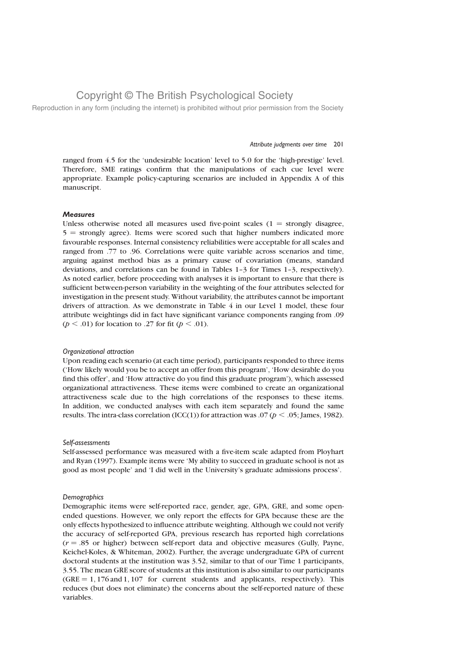Reproduction in any form (including the internet) is prohibited without prior permission from the Society

#### Attribute judgments over time 201

ranged from 4.5 for the 'undesirable location' level to 5.0 for the 'high-prestige' level. Therefore, SME ratings confirm that the manipulations of each cue level were appropriate. Example policy-capturing scenarios are included in Appendix A of this manuscript.

### **Measures**

Unless otherwise noted all measures used five-point scales  $(1 =$  strongly disagree,  $5 =$  strongly agree). Items were scored such that higher numbers indicated more favourable responses. Internal consistency reliabilities were acceptable for all scales and ranged from .77 to .96. Correlations were quite variable across scenarios and time, arguing against method bias as a primary cause of covariation (means, standard deviations, and correlations can be found in Tables 1–3 for Times 1–3, respectively). As noted earlier, before proceeding with analyses it is important to ensure that there is sufficient between-person variability in the weighting of the four attributes selected for investigation in the present study. Without variability, the attributes cannot be important drivers of attraction. As we demonstrate in Table 4 in our Level 1 model, these four attribute weightings did in fact have significant variance components ranging from .09 ( $p < .01$ ) for location to .27 for fit ( $p < .01$ ).

#### Organizational attraction

Upon reading each scenario (at each time period), participants responded to three items ('How likely would you be to accept an offer from this program', 'How desirable do you find this offer', and 'How attractive do you find this graduate program'), which assessed organizational attractiveness. These items were combined to create an organizational attractiveness scale due to the high correlations of the responses to these items. In addition, we conducted analyses with each item separately and found the same results. The intra-class correlation (ICC(1)) for attraction was .07 ( $p < .05$ ; James, 1982).

#### Self-assessments

Self-assessed performance was measured with a five-item scale adapted from Ployhart and Ryan (1997). Example items were 'My ability to succeed in graduate school is not as good as most people' and 'I did well in the University's graduate admissions process'.

#### **Demographics**

Demographic items were self-reported race, gender, age, GPA, GRE, and some openended questions. However, we only report the effects for GPA because these are the only effects hypothesized to influence attribute weighting. Although we could not verify the accuracy of self-reported GPA, previous research has reported high correlations  $(r = .85)$  or higher) between self-report data and objective measures (Gully, Payne, Keichel-Koles, & Whiteman, 2002). Further, the average undergraduate GPA of current doctoral students at the institution was 3.52, similar to that of our Time 1 participants, 3.55. The mean GRE score of students at this institution is also similar to our participants  $(GRE = 1, 176$  and  $1, 107$  for current students and applicants, respectively). This reduces (but does not eliminate) the concerns about the self-reported nature of these variables.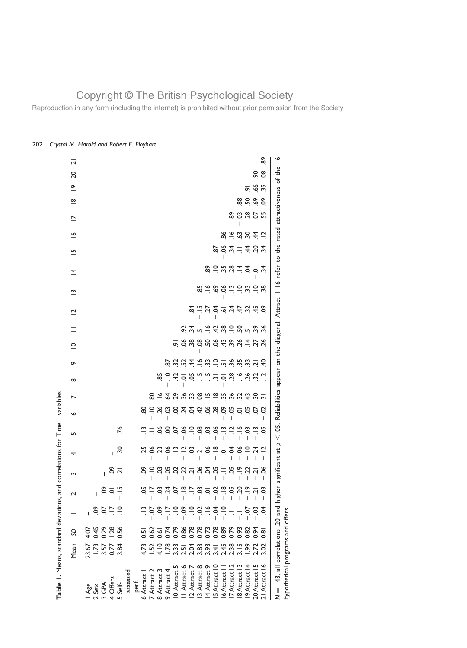Reproduction in any form (including the internet) is prohibited without prior permission from the Society

| Table 1. Means, standard deviations,                                      |                                                                                                |                                               |               |                                          | and correlations for Time I variables |                        |               |                    |                          |          |                                                                                                                                                                                                                                |                    |                |                                                                                                                                                                                                                                                                                                                     |                               |                                                                               |                |                |                          |                         |             |                                           |               |
|---------------------------------------------------------------------------|------------------------------------------------------------------------------------------------|-----------------------------------------------|---------------|------------------------------------------|---------------------------------------|------------------------|---------------|--------------------|--------------------------|----------|--------------------------------------------------------------------------------------------------------------------------------------------------------------------------------------------------------------------------------|--------------------|----------------|---------------------------------------------------------------------------------------------------------------------------------------------------------------------------------------------------------------------------------------------------------------------------------------------------------------------|-------------------------------|-------------------------------------------------------------------------------|----------------|----------------|--------------------------|-------------------------|-------------|-------------------------------------------|---------------|
|                                                                           | Mean                                                                                           | S                                             |               | 2                                        | Σ                                     | 4                      | S             | $\bullet$          | $\overline{\phantom{0}}$ | $\infty$ | ᡐ                                                                                                                                                                                                                              | $\subseteq$        | $=$            | $\overline{\mathbf{C}}$                                                                                                                                                                                                                                                                                             | $\tilde{ }$                   | ᅕ                                                                             | $\overline{5}$ | $\tilde{ }$    | $\overline{\phantom{0}}$ | $\frac{\infty}{\infty}$ | $\tilde{=}$ | $\overline{\mathbf{C}}$<br>$\overline{c}$ |               |
|                                                                           | $23.67$<br>$-3.57$<br>$-3.57$<br>$-3.84$                                                       |                                               |               |                                          |                                       |                        |               |                    |                          |          |                                                                                                                                                                                                                                |                    |                |                                                                                                                                                                                                                                                                                                                     |                               |                                                                               |                |                |                          |                         |             |                                           |               |
| Age<br>Sex                                                                |                                                                                                |                                               | ငိ            | L                                        |                                       |                        |               |                    |                          |          |                                                                                                                                                                                                                                |                    |                |                                                                                                                                                                                                                                                                                                                     |                               |                                                                               |                |                |                          |                         |             |                                           |               |
| GP∆<br>2<br>2                                                             |                                                                                                |                                               | CO.           |                                          |                                       |                        |               |                    |                          |          |                                                                                                                                                                                                                                |                    |                |                                                                                                                                                                                                                                                                                                                     |                               |                                                                               |                |                |                          |                         |             |                                           |               |
| <b>Offers</b><br>$\overline{ }$                                           |                                                                                                |                                               | $\frac{6}{2}$ | $\ddot{\varepsilon} \leq \ddot{\vec{v}}$ |                                       | L                      |               |                    |                          |          |                                                                                                                                                                                                                                |                    |                |                                                                                                                                                                                                                                                                                                                     |                               |                                                                               |                |                |                          |                         |             |                                           |               |
| Self-<br>$\overline{5}$                                                   |                                                                                                | $450$<br>$0.45$<br>$0.28$<br>$0.56$<br>$0.56$ |               |                                          | 0, 2                                  | ္က                     | .76           |                    |                          |          |                                                                                                                                                                                                                                |                    |                |                                                                                                                                                                                                                                                                                                                     |                               |                                                                               |                |                |                          |                         |             |                                           |               |
| assessed                                                                  |                                                                                                |                                               |               |                                          |                                       |                        |               |                    |                          |          |                                                                                                                                                                                                                                |                    |                |                                                                                                                                                                                                                                                                                                                     |                               |                                                                               |                |                |                          |                         |             |                                           |               |
| perf.                                                                     |                                                                                                |                                               |               |                                          |                                       |                        |               |                    |                          |          |                                                                                                                                                                                                                                |                    |                |                                                                                                                                                                                                                                                                                                                     |                               |                                                                               |                |                |                          |                         |             |                                           |               |
| 6 Attract                                                                 |                                                                                                |                                               |               |                                          | င်္                                   | 25                     |               | ಜ                  |                          |          |                                                                                                                                                                                                                                |                    |                |                                                                                                                                                                                                                                                                                                                     |                               |                                                                               |                |                |                          |                         |             |                                           |               |
| 7 Attract 2                                                               |                                                                                                |                                               |               | $5 - 54$                                 |                                       |                        | $=$ $\approx$ |                    |                          |          |                                                                                                                                                                                                                                |                    |                |                                                                                                                                                                                                                                                                                                                     |                               |                                                                               |                |                |                          |                         |             |                                           |               |
| 8 Attract 3                                                               |                                                                                                |                                               |               |                                          |                                       | ತೆ ಚ                   |               |                    |                          | 58       |                                                                                                                                                                                                                                |                    |                |                                                                                                                                                                                                                                                                                                                     |                               |                                                                               |                |                |                          |                         |             |                                           |               |
| 9 Attract 4                                                               |                                                                                                |                                               |               |                                          | S S<br>T                              | ð.                     | s             | = ಸ್ತೆ ಇ           |                          | $\Xi$    | 5                                                                                                                                                                                                                              |                    |                |                                                                                                                                                                                                                                                                                                                     |                               |                                                                               |                |                |                          |                         |             |                                           |               |
| LO<br>10 Attract                                                          |                                                                                                |                                               |               | O.                                       |                                       | $\tilde{\Xi}$          | S.            |                    |                          |          |                                                                                                                                                                                                                                |                    |                |                                                                                                                                                                                                                                                                                                                     |                               |                                                                               |                |                |                          |                         |             |                                           |               |
| ∾<br>II Attract                                                           | $7.58$ $7.798$ $7.798$ $7.798$ $7.798$ $7.798$ $7.798$ $7.798$ $7.798$ $7.798$ $7.798$ $7.798$ | 5357686868667558675<br>5357686666867          | 5879999999777 | $\frac{\infty}{\cdot}$                   | 3.3.7.83.87.8                         | $\frac{1}{2}$          | ್ರೆ           | <u>8 ५</u>         | $8 - 49$ $- 49$ $- 89$   |          | $-2.5$ $-2.5$ $-2.5$ $-2.5$ $-2.5$ $-2.5$ $-2.5$ $-2.5$ $-2.5$ $-2.5$ $-2.5$ $-2.5$ $-2.5$ $-2.5$ $-2.5$ $-2.5$ $-2.5$ $-2.5$ $-2.5$ $-2.5$ $-2.5$ $-2.5$ $-2.5$ $-2.5$ $-2.5$ $-2.5$ $-2.5$ $-2.5$ $-2.5$ $-2.5$ $-2.5$ $-2.$ | $= 8.888884784778$ |                |                                                                                                                                                                                                                                                                                                                     |                               |                                                                               |                |                |                          |                         |             |                                           |               |
| 12 Attract                                                                |                                                                                                |                                               |               | $\ddot{=}$                               |                                       |                        |               | र्ट स्             |                          |          |                                                                                                                                                                                                                                |                    |                |                                                                                                                                                                                                                                                                                                                     |                               |                                                                               |                |                |                          |                         |             |                                           |               |
| 13 Attract 8                                                              |                                                                                                |                                               |               |                                          |                                       | $rac{3}{2}$            | $\frac{8}{1}$ |                    |                          |          |                                                                                                                                                                                                                                |                    |                |                                                                                                                                                                                                                                                                                                                     | 85                            |                                                                               |                |                |                          |                         |             |                                           |               |
| 4 Attract 9                                                               |                                                                                                |                                               |               | 358                                      |                                       | ð.                     | ၁ ၂           | 88                 | $-2.88899$               |          |                                                                                                                                                                                                                                |                    | 8.759999597    | $\frac{1}{2}$ $\frac{1}{2}$ $\frac{1}{2}$ $\frac{1}{2}$ $\frac{1}{2}$ $\frac{1}{2}$ $\frac{1}{2}$ $\frac{1}{2}$ $\frac{1}{2}$ $\frac{1}{2}$ $\frac{1}{2}$ $\frac{1}{2}$ $\frac{1}{2}$ $\frac{1}{2}$ $\frac{1}{2}$ $\frac{1}{2}$ $\frac{1}{2}$ $\frac{1}{2}$ $\frac{1}{2}$ $\frac{1}{2}$ $\frac{1}{2}$ $\frac{1}{2}$ | $\approx$                     | 89                                                                            |                |                |                          |                         |             |                                           |               |
| IS Attract 10                                                             |                                                                                                |                                               |               |                                          |                                       | $\frac{\infty}{\cdot}$ |               |                    |                          |          |                                                                                                                                                                                                                                |                    |                |                                                                                                                                                                                                                                                                                                                     |                               |                                                                               |                |                |                          |                         |             |                                           |               |
| 6 Attract I                                                               |                                                                                                |                                               |               |                                          |                                       |                        | $\tilde{\Xi}$ |                    |                          |          |                                                                                                                                                                                                                                |                    |                |                                                                                                                                                                                                                                                                                                                     | $\frac{36}{6}$                |                                                                               |                |                |                          |                         |             |                                           |               |
| 7 Attract 12                                                              |                                                                                                |                                               |               | $\frac{a}{2}$ g g $\frac{a}{2}$          |                                       | $\leq \overline{2}$    | $\Xi$         |                    |                          |          |                                                                                                                                                                                                                                |                    |                |                                                                                                                                                                                                                                                                                                                     |                               |                                                                               |                |                |                          |                         |             |                                           |               |
| 8 Attract 13                                                              |                                                                                                | 0.93                                          |               |                                          | $\tilde{=}$<br>T                      | ð.                     | $\tilde{=}$   | 8,8,5,8            |                          |          |                                                                                                                                                                                                                                |                    |                |                                                                                                                                                                                                                                                                                                                     | $\vec{w}$ $\vec{w}$ $\vec{w}$ | $-5.887727$                                                                   | $884 - 484$    | $89 - 399 + 7$ | 898555                   |                         |             |                                           |               |
| 9 Attract 14                                                              | $-99$                                                                                          | 0.82                                          | S.            | $\tilde{=}$                              | $\frac{2}{3}$<br>$\overline{1}$       | $\Xi$                  | S.            |                    |                          |          |                                                                                                                                                                                                                                |                    |                |                                                                                                                                                                                                                                                                                                                     |                               |                                                                               |                |                |                          | 88 <sub>n</sub>         | ᅙ           |                                           |               |
| 20 Attract 15                                                             | 2.72<br>3.02                                                                                   | 0.94                                          | 9 g           | $\overline{N}$                           |                                       | $\dot{5}$              | $\tilde{\Xi}$ | CO.                | $\ddot{5}$               |          |                                                                                                                                                                                                                                |                    |                |                                                                                                                                                                                                                                                                                                                     | $\supseteq$                   |                                                                               |                |                |                          | $69$                    | 66          | 9Ó                                        |               |
| 21 Attract 16                                                             |                                                                                                | $\overline{0}$ .                              |               | 3                                        | న                                     |                        | 5s            | S                  | $\overline{m}$           | $\Xi$    | $\frac{6}{5}$                                                                                                                                                                                                                  |                    | $\frac{26}{3}$ |                                                                                                                                                                                                                                                                                                                     | $\frac{8}{3}$                 |                                                                               |                |                |                          | δ.                      |             | $\frac{8}{2}$                             | ဆွ            |
| $N = 143$ , all correlations .20 and<br>hypothetical programs and offers. |                                                                                                |                                               |               | Ē                                        | gher significant at p                 |                        | $\vee$        | .05. Reliabilities |                          |          |                                                                                                                                                                                                                                |                    |                |                                                                                                                                                                                                                                                                                                                     |                               | appear on the diagonal. Attract I-16 refer to the rated attractiveness of the |                |                |                          |                         |             |                                           | $\frac{8}{1}$ |
|                                                                           |                                                                                                |                                               |               |                                          |                                       |                        |               |                    |                          |          |                                                                                                                                                                                                                                |                    |                |                                                                                                                                                                                                                                                                                                                     |                               |                                                                               |                |                |                          |                         |             |                                           |               |

### 202 Crystal M. Harold and Robert E. Ployhart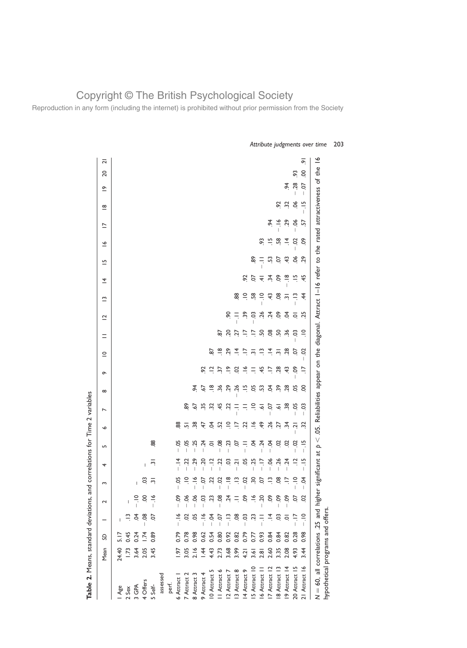Reproduction in any form (including the internet) is prohibited without prior permission from the Society

|               | Mean        | S    |               | $\sim$      | S                              | 4                                      | LO <sub>1</sub>     | $\bullet$         | $\overline{ }$       | $\infty$             | $\sigma$                 | $\subseteq$              | $\equiv$                 | $\overline{C}$       | $\tilde{ }$          | $\overline{4}$              | 므          | $\tilde{=}$ | $\overline{\phantom{0}}$ | $\frac{\infty}{\infty}$ | $\tilde{=}$                    | $\overline{c}$ |
|---------------|-------------|------|---------------|-------------|--------------------------------|----------------------------------------|---------------------|-------------------|----------------------|----------------------|--------------------------|--------------------------|--------------------------|----------------------|----------------------|-----------------------------|------------|-------------|--------------------------|-------------------------|--------------------------------|----------------|
| Age           | 24.40       | 5.17 |               |             |                                |                                        |                     |                   |                      |                      |                          |                          |                          |                      |                      |                             |            |             |                          |                         |                                |                |
| 2 Sex         | <b>1.73</b> | 0.45 |               |             |                                |                                        |                     |                   |                      |                      |                          |                          |                          |                      |                      |                             |            |             |                          |                         |                                |                |
| S GPA         | 3.64        | 0.24 |               |             | $\overline{1}$                 |                                        |                     |                   |                      |                      |                          |                          |                          |                      |                      |                             |            |             |                          |                         |                                |                |
| 4 Offers      | 2.05        | 1.74 | $-08$         | S.          | SO                             | T                                      |                     |                   |                      |                      |                          |                          |                          |                      |                      |                             |            |             |                          |                         |                                |                |
| 5 Self-       | 3.45        | 0.89 | S             |             | $\overline{r}$                 | ن                                      | 88                  |                   |                      |                      |                          |                          |                          |                      |                      |                             |            |             |                          |                         |                                |                |
| assessed      |             |      |               |             |                                |                                        |                     |                   |                      |                      |                          |                          |                          |                      |                      |                             |            |             |                          |                         |                                |                |
| perf.         |             |      |               |             |                                |                                        |                     |                   |                      |                      |                          |                          |                          |                      |                      |                             |            |             |                          |                         |                                |                |
| 6 Attract 1   | 1.97        | 0.79 | $-16$         | $-0$        | ă<br>$\overline{\phantom{a}}$  | $\vec{=}$                              | ತ್ತ                 | 88                |                      |                      |                          |                          |                          |                      |                      |                             |            |             |                          |                         |                                |                |
| 7 Attract 2   | 3.05        | 0.78 | S             | $-0.6$      | $\supseteq$                    | 55                                     | ă,                  |                   | ဆို                  |                      |                          |                          |                          |                      |                      |                             |            |             |                          |                         |                                |                |
| 8 Attract 3   | 2.16        | 0.98 |               | $-06$       | $\tilde{\vec{z}}$<br>I         | 29<br>I                                | 55                  | $-38$             | 57                   | र्द                  |                          |                          |                          |                      |                      |                             |            |             |                          |                         |                                |                |
| 9 Attract 4   | 1.44        | 0.62 | $\frac{1}{1}$ | $-03$       | ρ.<br>$\overline{\phantom{a}}$ | 20<br>$\overline{\phantom{a}}$         | $\ddot{5}$          | 47                | 55                   | $\ddot{9}$           | $\tilde{e}$              |                          |                          |                      |                      |                             |            |             |                          |                         |                                |                |
| 10 Attract 5  | 4.43        | 0.54 | ट<br>न        | S           | 22                             | $\frac{1}{2}$                          | ਼                   | Š.                | ö                    | $\frac{8}{1}$        | $\Xi$                    | 29                       |                          |                      |                      |                             |            |             |                          |                         |                                |                |
| II Attract 6  | 2.73        | 0.80 | io.<br>-      | $-0.8$      | S<br>$\overline{1}$            | S                                      | ළි.                 | 52                | 45                   | $\ddot{36}$          | 57                       | $\frac{\infty}{\cdot}$   | 5g                       |                      |                      |                             |            |             |                          |                         |                                |                |
| 2 Attract 7   | 3.68        | 0.92 | ت<br>آ        | $\ddot{5}$  | $\frac{8}{1}$<br>I             | S.                                     | S                   | $\Xi$             | 22                   | 29                   | $\tilde{=}$              | 5 <sup>2</sup>           | Ος.                      | ୡୄ                   |                      |                             |            |             |                          |                         |                                |                |
| 3 Attract 8   | 3.99        | 0.82 | $\frac{8}{2}$ | Ξ           | $\tilde{\Xi}$                  | $\overline{N}$<br>I                    | S                   | $\ddot{=}$        | Ξ                    | 56                   | S                        | $\vec{a}$                | 27                       | 두                    | æ                    |                             |            |             |                          |                         |                                |                |
| 4 Attract 9   | 4.21        | 0.79 | $-3$          | င္ပ         | S<br>I                         | 5o                                     | Ξ                   | 22                | Ξ                    | $\frac{5}{1}$        | $\tilde{=}$              | $\overline{\phantom{a}}$ | $\overline{\phantom{a}}$ | $\ddot{\mathcal{E}}$ | $\equiv$             | $\mathcal{S}$               |            |             |                          |                         |                                |                |
| 5 Attract 10  | 3.61        | 0.77 | S             | $\tilde{=}$ | 30                             | 25<br>$\overline{\phantom{a}}$         | S.                  | $\tilde{\vec{z}}$ | $\Xi$                | ă,                   | Ξ                        | $\overline{m}$           | $\ddot{=}$               | ප                    | 58                   | S.                          | န္တ        |             |                          |                         |                                |                |
| 6 Attract 11  | 2.81        | 0.93 |               | $-20$       | 5.                             | Ξ<br>Ï                                 | $\ddot{5}$          | $\frac{4}{3}$     | $\overline{\bullet}$ | S.                   | 45                       | $\frac{1}{2}$            | SO.                      | 56                   | $\tilde{=}$          | $\frac{4}{4}$ $\frac{1}{4}$ | Ξ          | ္ပ          |                          |                         |                                |                |
| 17 Attract 12 | 2.60        | 0.84 |               | န္ပ         | $\tilde{=}$                    | $-06$                                  | Ş                   | 26                | CO.                  | £                    | $\overline{\phantom{a}}$ | $\vec{=}$                | $\overline{0}$           | $\ddot{5}$           | 43                   |                             | 53         | $\Xi$       | रूं                      |                         |                                |                |
| 8 Attract 13  | 3.35        | 0.84 | S.            | န္ပ         | $\overline{8}$                 | 26<br>Ï                                | S                   | 27                | ত্ৰ                  | $\ddot{\mathcal{S}}$ | 28                       | $\frac{1}{2}$ 8          | 50                       | දි                   | œ.                   | So                          | 5Ò         | 58          | $-\frac{6}{1}$           | S.                      |                                |                |
| 19 Attract 14 | 2.08        | 0.82 | ē             | $-0.9$      | $\overline{-}$                 | $\ddot{5}$<br>$\overline{\phantom{a}}$ | S                   | $\ddot{ }$        | $\ddot{3}$           | 28                   | 43                       |                          | $\ddot{36}$              | इं                   | ن                    | $\frac{8}{1}$               | $\ddot{+}$ | $\vec{a}$   | 50                       | 32                      | \$                             |                |
| 20 Attract 15 | 4.93        | 0.28 |               | S.          | $\frac{1}{2}$<br>I             | $\vec{a}$                              | S                   | $\overline{S}$    | 5g<br>I              | 5o                   | දි                       | S.                       | S.                       | ē                    | $\tilde{\mathbf{u}}$ | $\frac{5}{1}$               | $\infty$   | S           | ð.                       | 9Ò                      | 28<br>$\overline{\phantom{a}}$ | 93             |
| 21 Attract 16 | 3.44        | 0.98 | $-10$         | S           | Ś.<br>I                        | $\frac{15}{11}$<br>I                   | $\frac{15}{1}$<br>L | $\ddot{c}$        | ິຣ<br>I              | S                    | Ξ.                       | S<br>L                   | $\frac{1}{1}$            | 25                   | 4                    | $\frac{45}{3}$              | 29         | δ.          | 5,                       | $\frac{5}{1}$<br>I      | S<br>$\mathsf{I}$              | 00             |

Attribute judgments over time 203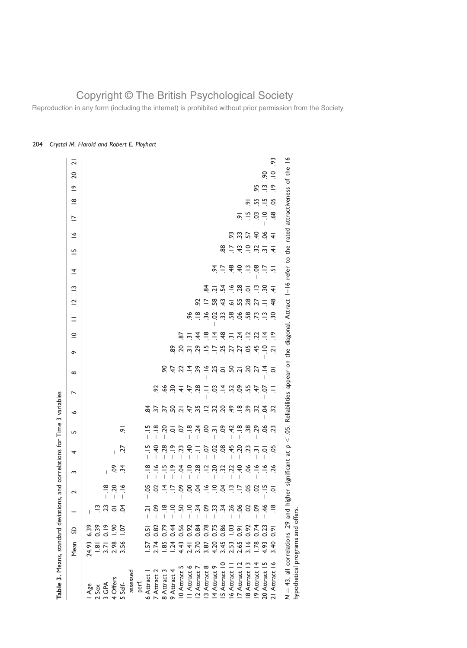Reproduction in any form (including the internet) is prohibited without prior permission from the Society

| Table 3. Means, standard deviations,                                                        |               |                       |                 |                             | and correlations for Time 3 variables |                                |                               |                                                        |                                               |               |   |                                                                 |                                       |                                                       |                                                                                                                                             |                          |                                                                       |               |                             |                 |                              |                         |
|---------------------------------------------------------------------------------------------|---------------|-----------------------|-----------------|-----------------------------|---------------------------------------|--------------------------------|-------------------------------|--------------------------------------------------------|-----------------------------------------------|---------------|---|-----------------------------------------------------------------|---------------------------------------|-------------------------------------------------------|---------------------------------------------------------------------------------------------------------------------------------------------|--------------------------|-----------------------------------------------------------------------|---------------|-----------------------------|-----------------|------------------------------|-------------------------|
|                                                                                             | Mean          | S                     |                 | $\sim$                      | S                                     | 4                              | LO <sub>1</sub>               | $\bullet$                                              | ↖                                             | $\infty$      | ç | $\subseteq$                                                     | $\equiv$                              | $\overline{\mathbf{C}}$                               | $\tilde{ }$                                                                                                                                 | $\overline{4}$           | $\overline{5}$                                                        | $\tilde{=}$   | $\overline{\phantom{0}}$    | $\infty$        | 20<br>$\tilde{e}$            | $\overline{\mathbf{c}}$ |
| Age                                                                                         | 24.93         | 6.39                  |                 |                             |                                       |                                |                               |                                                        |                                               |               |   |                                                                 |                                       |                                                       |                                                                                                                                             |                          |                                                                       |               |                             |                 |                              |                         |
| 2 Sex                                                                                       | $\frac{1}{8}$ | 0.39                  |                 | L                           |                                       |                                |                               |                                                        |                                               |               |   |                                                                 |                                       |                                                       |                                                                                                                                             |                          |                                                                       |               |                             |                 |                              |                         |
| 3 GPA                                                                                       | 3.71          | 0.19                  | 23              | $\frac{8}{1}$               | $\overline{1}$                        |                                |                               |                                                        |                                               |               |   |                                                                 |                                       |                                                       |                                                                                                                                             |                          |                                                                       |               |                             |                 |                              |                         |
| 4 Offers                                                                                    | 2.98          | $\frac{6}{2}$         | ē               | 50<br>T                     |                                       | $\mathsf{L}$                   |                               |                                                        |                                               |               |   |                                                                 |                                       |                                                       |                                                                                                                                             |                          |                                                                       |               |                             |                 |                              |                         |
| 5 Self-                                                                                     | 3.56          | $-0.1$                | Š.              | $\frac{8}{1}$               | <u>ुं ५</u>                           | Ż2                             | $\sigma$                      |                                                        |                                               |               |   |                                                                 |                                       |                                                       |                                                                                                                                             |                          |                                                                       |               |                             |                 |                              |                         |
| assessed                                                                                    |               |                       |                 |                             |                                       |                                |                               |                                                        |                                               |               |   |                                                                 |                                       |                                                       |                                                                                                                                             |                          |                                                                       |               |                             |                 |                              |                         |
| perf.                                                                                       |               |                       |                 |                             |                                       |                                |                               |                                                        |                                               |               |   |                                                                 |                                       |                                                       |                                                                                                                                             |                          |                                                                       |               |                             |                 |                              |                         |
| 6 Attract                                                                                   | $-57$         | $\overline{0.5}$      | Ņ               | 5c<br>T                     | $\frac{\infty}{\cdot}$                | $\frac{5}{1}$                  |                               |                                                        |                                               |               |   |                                                                 |                                       |                                                       |                                                                                                                                             |                          |                                                                       |               |                             |                 |                              |                         |
| 7 Attract 2                                                                                 | 2.74          | 0.82                  | ငိ              |                             | $\tilde{=}$                           | ੩                              | $\frac{\infty}{\cdot}$        |                                                        | ର୍                                            |               |   |                                                                 |                                       |                                                       |                                                                                                                                             |                          |                                                                       |               |                             |                 |                              |                         |
| 8 Attract 3                                                                                 | 1.85          | 0.79                  | $\frac{8}{1}$   |                             | $\frac{15}{1}$                        | 28                             | S.                            |                                                        |                                               |               |   |                                                                 |                                       |                                                       |                                                                                                                                             |                          |                                                                       |               |                             |                 |                              |                         |
| 9 Attract 4                                                                                 | 1.24          | 0.44                  | $\frac{1}{1}$   |                             | $\tilde{=}$                           | $\frac{\infty}{\cdot}$         |                               |                                                        |                                               |               |   |                                                                 |                                       |                                                       |                                                                                                                                             |                          |                                                                       |               |                             |                 |                              |                         |
| 10 Attract 5                                                                                | 4.43          | 0.56                  | 50              | 3758                        | Ś.                                    | 53                             | $\frac{5}{2}$                 |                                                        | 397787878788                                  | 8.47789999777 |   | 2                                                               |                                       |                                                       |                                                                                                                                             |                          |                                                                       |               |                             |                 |                              |                         |
| II Attract 6                                                                                | 2.41          | 0.92                  | $rac{1}{\cdot}$ |                             | $\Xi$                                 | ੩                              |                               |                                                        |                                               |               |   | $\overline{m}$                                                  | ಹಿ                                    |                                                       |                                                                                                                                             |                          |                                                                       |               |                             |                 |                              |                         |
| 12 Attract 7                                                                                | 3.70          |                       | $\ddot{3}$      |                             | $\overline{28}$                       | $\equiv$                       | $\frac{8}{10}$ $\frac{4}{10}$ |                                                        |                                               |               |   | $\hat{A}$                                                       |                                       | 55                                                    |                                                                                                                                             |                          |                                                                       |               |                             |                 |                              |                         |
| 3 Attract 8                                                                                 | 3.87          | 0.84<br>0.78<br>0.0.0 | ಲ್ಲಿ ಬೆ         | $83 - 2$                    | $\Xi$                                 | S                              | $rac{1}{2}$                   | $\ddot{a}$ $\ddot{a}$ $\ddot{a}$ $\ddot{a}$ $\ddot{a}$ |                                               |               |   | $\frac{1}{\infty}$ $\frac{1}{\infty}$                           | $-0.89$ $-0.0000$ $-0.0000$ $-0.0000$ | Ξ                                                     |                                                                                                                                             |                          |                                                                       |               |                             |                 |                              |                         |
| 14 Attract 9                                                                                | 4.20          |                       |                 |                             | 20                                    | S                              |                               |                                                        |                                               |               |   |                                                                 |                                       | 58                                                    |                                                                                                                                             |                          |                                                                       |               |                             |                 |                              |                         |
| 5 Attract 10                                                                                | 3.45          |                       | 34.26           | $\frac{1}{2}$ $\frac{1}{2}$ | <u>ಜ ಜ</u>                            | 8Ò                             | $\ddot{\mathrm{c}}$           |                                                        |                                               |               |   |                                                                 |                                       |                                                       |                                                                                                                                             |                          |                                                                       |               |                             |                 |                              |                         |
| 16 Attract 1                                                                                | 2.53          | 1.03                  |                 |                             |                                       | 45                             | स्                            | $\frac{6}{7}$                                          |                                               |               |   |                                                                 |                                       |                                                       |                                                                                                                                             |                          | $\frac{2}{5}$                                                         | S.            |                             |                 |                              |                         |
| 7 Attract 12                                                                                | 2.65          | $\frac{1}{2}$         | 0.02            | $\frac{5}{2}$               | $rac{4}{5}$<br>I                      |                                | $\frac{8}{1}$ $\frac{8}{1}$   | $\frac{8}{1}$ $\frac{8}{1}$                            |                                               |               |   |                                                                 |                                       |                                                       |                                                                                                                                             |                          |                                                                       | 3.5           | ó                           |                 |                              |                         |
| 18 Attract 1                                                                                | 3.16          | 0.92                  |                 |                             | $\infty$                              | $5.57$ $\frac{1}{2}$           |                               |                                                        |                                               |               |   | $\frac{36}{10}$ $\frac{14}{10}$ $\frac{11}{10}$ $\frac{11}{10}$ |                                       | $\ddot{a}$ $\dot{c}$ $\ddot{a}$ $\ddot{a}$ $\ddot{b}$ | $\frac{9}{4}$ $\frac{4}{4}$ $\frac{1}{4}$ $\frac{1}{6}$ $\frac{1}{8}$ $\frac{1}{9}$ $\frac{1}{9}$ $\frac{1}{9}$ $\frac{1}{9}$ $\frac{1}{9}$ | $x = 3$ $\div$ $x = 3$   | $\frac{4}{3}$ $\frac{1}{3}$ $\frac{1}{2}$ $\frac{1}{2}$ $\frac{1}{2}$ |               | $\frac{5}{1}$               | Ō.              |                              |                         |
| 19 Attract 14                                                                               | 1.78          | 0.74                  | ငိ              | S                           | $\tilde{\vec{z}}$                     |                                | 29                            | Σ,                                                     | 47                                            |               |   |                                                                 |                                       |                                                       |                                                                                                                                             |                          |                                                                       | $rac{4}{5}$   | S.                          | 55              | 95                           |                         |
| Ë<br>20 Attract                                                                             | 4.93          | 0.23                  | $\frac{4}{5}$   | I.                          | $\tilde{\vec{z}}$                     | $\overline{Q}$                 | 8Ó                            | Ś.                                                     | S<br>T                                        |               |   | $\vec{a}$                                                       | $\tilde{=}$                           | Ξ                                                     |                                                                                                                                             | $\overline{\phantom{a}}$ |                                                                       | T<br>$\infty$ | $\Xi$                       | $\frac{10}{10}$ | 9Ó<br>$\frac{\infty}{\cdot}$ |                         |
| 21 Attract 16                                                                               | 3.40          | $\overline{0.9}$      | $\frac{8}{1}$   | $\overline{Q}$<br>ı         | 26<br>ı                               | 5o                             | $\overline{c}$                | $\tilde{\mathcal{S}}$                                  | I                                             | $\circ$       |   | $\tilde{=}$                                                     | š                                     | $\frac{8}{4}$                                         | $\overline{+}$                                                                                                                              | $\overline{5}$           | $\overline{\mathbf{A}}$                                               | ╤             | 3                           | 5c              | $\supseteq$<br>$\frac{8}{1}$ | 93                      |
| $N = 43$ , all correlations .29 and higher significant<br>hypothetical programs and offers. |               |                       |                 |                             |                                       | $\overline{\phantom{a}}$<br>at | 05.<br>V                      |                                                        | Reliabilities appear on the diagonal. Attract |               |   |                                                                 |                                       |                                                       | I-16 refer to                                                                                                                               |                          | the                                                                   |               | rated attractiveness of the |                 |                              | $\tilde{=}$             |
|                                                                                             |               |                       |                 |                             |                                       |                                |                               |                                                        |                                               |               |   |                                                                 |                                       |                                                       |                                                                                                                                             |                          |                                                                       |               |                             |                 |                              |                         |

### 204 Crystal M. Harold and Robert E. Ployhart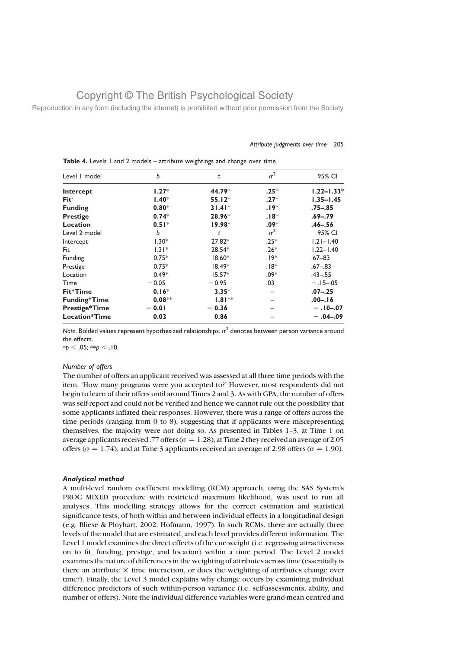Reproduction in any form (including the internet) is prohibited without prior permission from the Society

| Level I model        | b        | t        | $\sigma^2$ | 95% CI         |
|----------------------|----------|----------|------------|----------------|
| Intercept            | $1.27*$  | 44.79*   | $.25*$     | $1.22 - 1.33*$ |
| Fit'                 | $1.40*$  | $55.12*$ | $.27*$     | $1.35 - 1.45$  |
| <b>Funding</b>       | $0.80*$  | $31.41*$ | $.19*$     | $.75 - .85$    |
| <b>Prestige</b>      | $0.74*$  | 28.96*   | $.18*$     | $.69 - .79$    |
| Location             | $0.51*$  | $19.98*$ | $.09*$     | $.46 - .56$    |
| Level 2 model        | b        | t        | $\sigma^2$ | 95% CI         |
| Intercept            | $1.30*$  | 27.82*   | $.25*$     | $1.21 - 1.40$  |
| Fit                  | $1.31*$  | 28.54*   | $.26*$     | $1.22 - 1.40$  |
| Funding              | $0.75*$  | $18.60*$ | $.19*$     | $.67 - 83$     |
| Prestige             | $0.75*$  | $18.49*$ | $.18*$     | $.67 - .83$    |
| Location             | $0.49*$  | $15.57*$ | $.09*$     | $.43 - .55$    |
| Time                 | $-0.05$  | $-0.95$  | .03        | $-.15-.05$     |
| Fit*Time             | $0.16*$  | $3.35*$  |            | $.07 - .25$    |
| <b>Funding*Time</b>  | $0.08**$ | $1.81**$ |            | $.00 - .16$    |
| <b>Prestige*Time</b> | $-0.01$  | $-0.36$  |            | $-.10 - .07$   |
| <b>Location*Time</b> | 0.03     | 0.86     |            | $-.04-.09$     |

Attribute judgments over time 205

Table 4. Levels 1 and 2 models – attribute weightings and change over time

Note. Bolded values represent hypothesized relationships.  $\sigma^2$  denotes between person variance around the effects.

 $*p < .05; **p < .10.$ 

#### Number of offers

The number of offers an applicant received was assessed at all three time periods with the item, 'How many programs were you accepted to?' However, most respondents did not begin to learn of their offers until around Times 2 and 3. As with GPA, the number of offers was self-report and could not be verified and hence we cannot rule out the possibility that some applicants inflated their responses. However, there was a range of offers across the time periods (ranging from 0 to 8), suggesting that if applicants were misrepresenting themselves, the majority were not doing so. As presented in Tables 1–3, at Time 1 on average applicants received .77 offers ( $\sigma = 1.28$ ), at Time 2 they received an average of 2.05 offers ( $\sigma = 1.74$ ), and at Time 3 applicants received an average of 2.98 offers ( $\sigma = 1.90$ ).

#### Analytical method

A multi-level random coefficient modelling (RCM) approach, using the SAS System's PROC MIXED procedure with restricted maximum likelihood, was used to run all analyses. This modelling strategy allows for the correct estimation and statistical significance tests, of both within and between individual effects in a longitudinal design (e.g. Bliese & Ployhart, 2002; Hofmann, 1997). In such RCMs, there are actually three levels of the model that are estimated, and each level provides different information. The Level 1 model examines the direct effects of the cue weight (i.e. regressing attractiveness on to fit, funding, prestige, and location) within a time period. The Level 2 model examines the nature of differences in the weighting of attributes across time (essentially is there an attribute  $\times$  time interaction, or does the weighting of attributes change over time?). Finally, the Level 3 model explains why change occurs by examining individual difference predictors of such within-person variance (i.e. self-assessments, ability, and number of offers). Note the individual difference variables were grand-mean centred and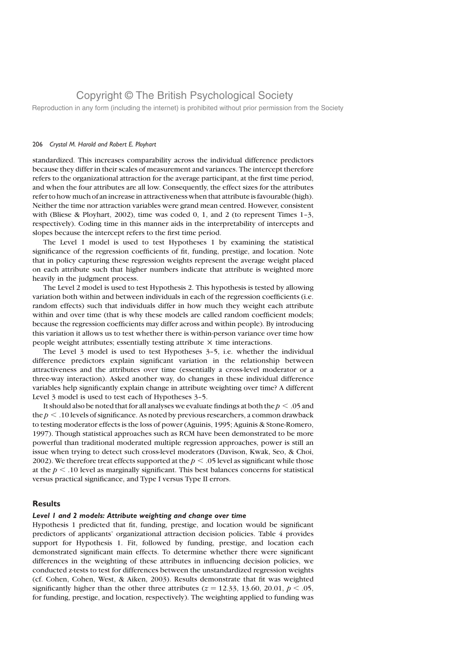Reproduction in any form (including the internet) is prohibited without prior permission from the Society

#### 206 Crystal M. Harold and Robert E. Ployhart

standardized. This increases comparability across the individual difference predictors because they differ in their scales of measurement and variances. The intercept therefore refers to the organizational attraction for the average participant, at the first time period, and when the four attributes are all low. Consequently, the effect sizes for the attributes refer to how much of an increase in attractiveness when that attribute is favourable (high). Neither the time nor attraction variables were grand mean centred. However, consistent with (Bliese & Ployhart, 2002), time was coded  $0, 1$ , and 2 (to represent Times 1-3, respectively). Coding time in this manner aids in the interpretability of intercepts and slopes because the intercept refers to the first time period.

The Level 1 model is used to test Hypotheses 1 by examining the statistical significance of the regression coefficients of fit, funding, prestige, and location. Note that in policy capturing these regression weights represent the average weight placed on each attribute such that higher numbers indicate that attribute is weighted more heavily in the judgment process.

The Level 2 model is used to test Hypothesis 2. This hypothesis is tested by allowing variation both within and between individuals in each of the regression coefficients (i.e. random effects) such that individuals differ in how much they weight each attribute within and over time (that is why these models are called random coefficient models; because the regression coefficients may differ across and within people). By introducing this variation it allows us to test whether there is within-person variance over time how people weight attributes; essentially testing attribute  $\times$  time interactions.

The Level 3 model is used to test Hypotheses 3–5, i.e. whether the individual difference predictors explain significant variation in the relationship between attractiveness and the attributes over time (essentially a cross-level moderator or a three-way interaction). Asked another way, do changes in these individual difference variables help significantly explain change in attribute weighting over time? A different Level 3 model is used to test each of Hypotheses 3-5.

It should also be noted that for all analyses we evaluate findings at both the  $p < .05$  and the  $p < .10$  levels of significance. As noted by previous researchers, a common drawback to testing moderator effects is the loss of power (Aguinis, 1995; Aguinis & Stone-Romero, 1997). Though statistical approaches such as RCM have been demonstrated to be more powerful than traditional moderated multiple regression approaches, power is still an issue when trying to detect such cross-level moderators (Davison, Kwak, Seo, & Choi, 2002). We therefore treat effects supported at the  $p < .05$  level as significant while those at the  $p < .10$  level as marginally significant. This best balances concerns for statistical versus practical significance, and Type I versus Type II errors.

### **Results**

#### Level 1 and 2 models: Attribute weighting and change over time

Hypothesis 1 predicted that fit, funding, prestige, and location would be significant predictors of applicants' organizational attraction decision policies. Table 4 provides support for Hypothesis 1. Fit, followed by funding, prestige, and location each demonstrated significant main effects. To determine whether there were significant differences in the weighting of these attributes in influencing decision policies, we conducted z-tests to test for differences between the unstandardized regression weights (cf. Cohen, Cohen, West, & Aiken, 2003). Results demonstrate that fit was weighted significantly higher than the other three attributes ( $z = 12.33$ , 13.60, 20.01,  $p < .05$ , for funding, prestige, and location, respectively). The weighting applied to funding was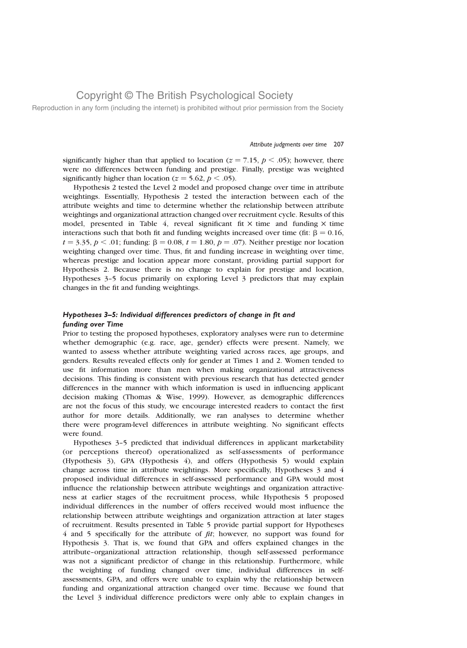Reproduction in any form (including the internet) is prohibited without prior permission from the Society

#### Attribute judgments over time 207

significantly higher than that applied to location ( $z = 7.15$ ,  $p < .05$ ); however, there were no differences between funding and prestige. Finally, prestige was weighted significantly higher than location ( $z = 5.62$ ,  $p < .05$ ).

Hypothesis 2 tested the Level 2 model and proposed change over time in attribute weightings. Essentially, Hypothesis 2 tested the interaction between each of the attribute weights and time to determine whether the relationship between attribute weightings and organizational attraction changed over recruitment cycle. Results of this model, presented in Table 4, reveal significant fit  $\times$  time and funding  $\times$  time interactions such that both fit and funding weights increased over time (fit:  $\beta = 0.16$ ,  $t = 3.35, p < .01$ ; funding:  $\beta = 0.08, t = 1.80, p = .07$ ). Neither prestige nor location weighting changed over time. Thus, fit and funding increase in weighting over time, whereas prestige and location appear more constant, providing partial support for Hypothesis 2. Because there is no change to explain for prestige and location, Hypotheses 3–5 focus primarily on exploring Level 3 predictors that may explain changes in the fit and funding weightings.

### Hypotheses 3–5: Individual differences predictors of change in fit and funding over Time

Prior to testing the proposed hypotheses, exploratory analyses were run to determine whether demographic (e.g. race, age, gender) effects were present. Namely, we wanted to assess whether attribute weighting varied across races, age groups, and genders. Results revealed effects only for gender at Times 1 and 2. Women tended to use fit information more than men when making organizational attractiveness decisions. This finding is consistent with previous research that has detected gender differences in the manner with which information is used in influencing applicant decision making (Thomas & Wise, 1999). However, as demographic differences are not the focus of this study, we encourage interested readers to contact the first author for more details. Additionally, we ran analyses to determine whether there were program-level differences in attribute weighting. No significant effects were found.

Hypotheses 3–5 predicted that individual differences in applicant marketability (or perceptions thereof) operationalized as self-assessments of performance (Hypothesis 3), GPA (Hypothesis 4), and offers (Hypothesis 5) would explain change across time in attribute weightings. More specifically, Hypotheses 3 and 4 proposed individual differences in self-assessed performance and GPA would most influence the relationship between attribute weightings and organization attractiveness at earlier stages of the recruitment process, while Hypothesis 5 proposed individual differences in the number of offers received would most influence the relationship between attribute weightings and organization attraction at later stages of recruitment. Results presented in Table 5 provide partial support for Hypotheses 4 and 5 specifically for the attribute of fit; however, no support was found for Hypothesis 3. That is, we found that GPA and offers explained changes in the attribute–organizational attraction relationship, though self-assessed performance was not a significant predictor of change in this relationship. Furthermore, while the weighting of funding changed over time, individual differences in selfassessments, GPA, and offers were unable to explain why the relationship between funding and organizational attraction changed over time. Because we found that the Level 3 individual difference predictors were only able to explain changes in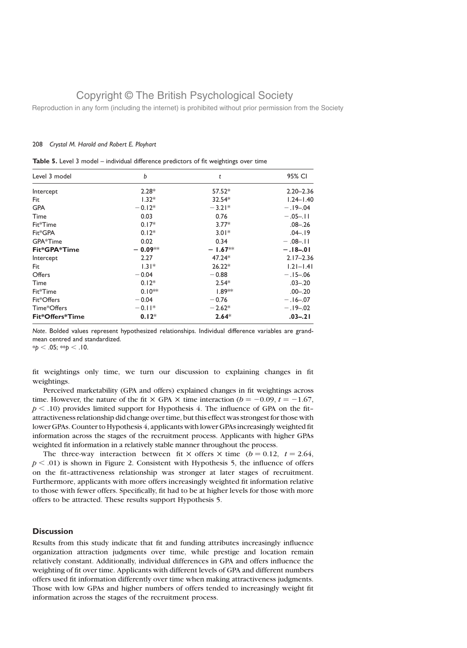Reproduction in any form (including the internet) is prohibited without prior permission from the Society

#### 208 Crystal M. Harold and Robert E. Ployhart

| Level 3 model   | b         | t         | 95% CI        |
|-----------------|-----------|-----------|---------------|
| Intercept       | $2.28*$   | $57.52*$  | $2.20 - 2.36$ |
| Fit             | $1.32*$   | $32.54*$  | $1.24 - 1.40$ |
| <b>GPA</b>      | $-0.12*$  | $-3.21*$  | $-.19-.04$    |
| Time            | 0.03      | 0.76      | $-.05-.11$    |
| Fit*Time        | $0.17*$   | $3.77*$   | $.08 - .26$   |
| Fit*GPA         | $0.12*$   | $3.01*$   | $.04 - .19$   |
| GPA*Time        | 0.02      | 0.34      | $-0.08 - 11$  |
| Fit*GPA*Time    | $-0.09**$ | $-1.67**$ | $-.18-.01$    |
| Intercept       | 2.27      | 47.24*    | $2.17 - 2.36$ |
| Fit             | $1.31*$   | $26.22*$  | $1.21 - 1.41$ |
| Offers          | $-0.04$   | $-0.88$   | $-.15-.06$    |
| Time            | $0.12*$   | $2.54*$   | $.03 - .20$   |
| Fit*Time        | $0.10**$  | $1.89**$  | $.00 - .20$   |
| Fit*Offers      | $-0.04$   | $-0.76$   | $-.16-.07$    |
| Time*Offers     | $-0.11*$  | $-2.62*$  | $-.19-.02$    |
| Fit*Offers*Time | $0.12*$   | $2.64*$   | $.03 - .21$   |

Note. Bolded values represent hypothesized relationships. Individual difference variables are grandmean centred and standardized.

 $*p < .05; **p < .10.$ 

fit weightings only time, we turn our discussion to explaining changes in fit weightings.

Perceived marketability (GPA and offers) explained changes in fit weightings across time. However, the nature of the fit  $\times$  GPA  $\times$  time interaction ( $b = -0.09$ ,  $t = -1.67$ ,  $p < .10$ ) provides limited support for Hypothesis 4. The influence of GPA on the fitattractiveness relationship did change over time, but this effect was strongest for those with lower GPAs. Counter to Hypothesis 4, applicants with lower GPAs increasingly weighted fit information across the stages of the recruitment process. Applicants with higher GPAs weighted fit information in a relatively stable manner throughout the process.

The three-way interaction between fit  $\times$  offers  $\times$  time (b = 0.12, t = 2.64,  $p < .01$ ) is shown in Figure 2. Consistent with Hypothesis 5, the influence of offers on the fit–attractiveness relationship was stronger at later stages of recruitment. Furthermore, applicants with more offers increasingly weighted fit information relative to those with fewer offers. Specifically, fit had to be at higher levels for those with more offers to be attracted. These results support Hypothesis 5.

### **Discussion**

Results from this study indicate that fit and funding attributes increasingly influence organization attraction judgments over time, while prestige and location remain relatively constant. Additionally, individual differences in GPA and offers influence the weighting of fit over time. Applicants with different levels of GPA and different numbers offers used fit information differently over time when making attractiveness judgments. Those with low GPAs and higher numbers of offers tended to increasingly weight fit information across the stages of the recruitment process.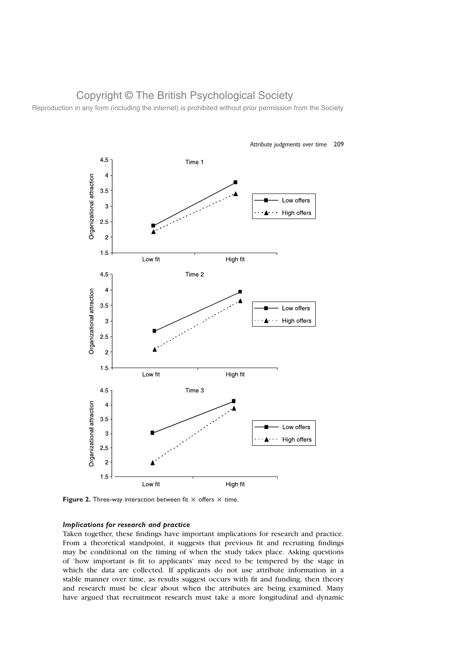Reproduction in any form (including the internet) is prohibited without prior permission from the Society



#### Attribute judgments over time 209

Figure 2. Three-way interaction between fit  $\times$  offers  $\times$  time.

### Implications for research and practice

Taken together, these findings have important implications for research and practice. From a theoretical standpoint, it suggests that previous fit and recruiting findings may be conditional on the timing of when the study takes place. Asking questions of 'how important is fit to applicants' may need to be tempered by the stage in which the data are collected. If applicants do not use attribute information in a stable manner over time, as results suggest occurs with fit and funding, then theory and research must be clear about when the attributes are being examined. Many have argued that recruitment research must take a more longitudinal and dynamic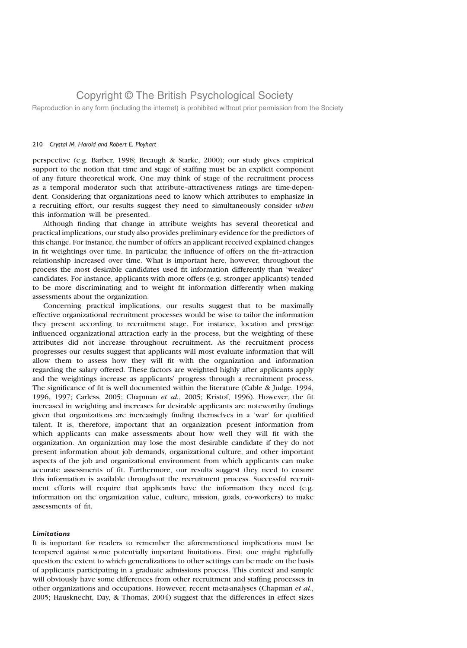Reproduction in any form (including the internet) is prohibited without prior permission from the Society

#### 210 Crystal M. Harold and Robert E. Ployhart

perspective (e.g. Barber, 1998; Breaugh & Starke, 2000); our study gives empirical support to the notion that time and stage of staffing must be an explicit component of any future theoretical work. One may think of stage of the recruitment process as a temporal moderator such that attribute–attractiveness ratings are time-dependent. Considering that organizations need to know which attributes to emphasize in a recruiting effort, our results suggest they need to simultaneously consider when this information will be presented.

Although finding that change in attribute weights has several theoretical and practical implications, our study also provides preliminary evidence for the predictors of this change. For instance, the number of offers an applicant received explained changes in fit weightings over time. In particular, the influence of offers on the fit–attraction relationship increased over time. What is important here, however, throughout the process the most desirable candidates used fit information differently than 'weaker' candidates. For instance, applicants with more offers (e.g. stronger applicants) tended to be more discriminating and to weight fit information differently when making assessments about the organization.

Concerning practical implications, our results suggest that to be maximally effective organizational recruitment processes would be wise to tailor the information they present according to recruitment stage. For instance, location and prestige influenced organizational attraction early in the process, but the weighting of these attributes did not increase throughout recruitment. As the recruitment process progresses our results suggest that applicants will most evaluate information that will allow them to assess how they will fit with the organization and information regarding the salary offered. These factors are weighted highly after applicants apply and the weightings increase as applicants' progress through a recruitment process. The significance of fit is well documented within the literature (Cable & Judge, 1994, 1996, 1997; Carless, 2005; Chapman et al., 2005; Kristof, 1996). However, the fit increased in weighting and increases for desirable applicants are noteworthy findings given that organizations are increasingly finding themselves in a 'war' for qualified talent. It is, therefore, important that an organization present information from which applicants can make assessments about how well they will fit with the organization. An organization may lose the most desirable candidate if they do not present information about job demands, organizational culture, and other important aspects of the job and organizational environment from which applicants can make accurate assessments of fit. Furthermore, our results suggest they need to ensure this information is available throughout the recruitment process. Successful recruitment efforts will require that applicants have the information they need (e.g. information on the organization value, culture, mission, goals, co-workers) to make assessments of fit.

#### **Limitations**

It is important for readers to remember the aforementioned implications must be tempered against some potentially important limitations. First, one might rightfully question the extent to which generalizations to other settings can be made on the basis of applicants participating in a graduate admissions process. This context and sample will obviously have some differences from other recruitment and staffing processes in other organizations and occupations. However, recent meta-analyses (Chapman et al., 2005; Hausknecht, Day, & Thomas, 2004) suggest that the differences in effect sizes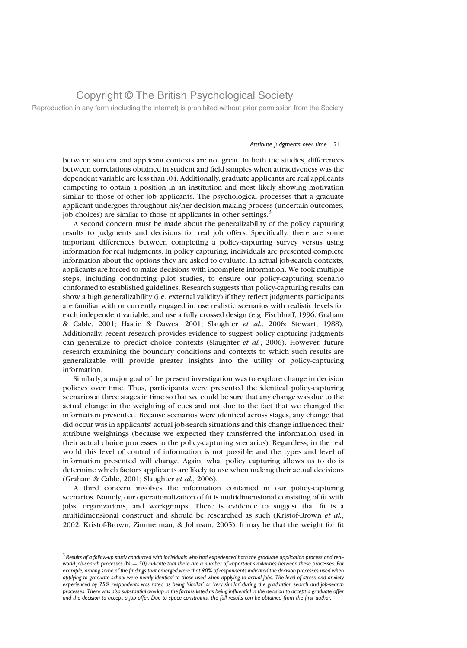Reproduction in any form (including the internet) is prohibited without prior permission from the Society

#### Attribute judgments over time 211

between student and applicant contexts are not great. In both the studies, differences between correlations obtained in student and field samples when attractiveness was the dependent variable are less than .04. Additionally, graduate applicants are real applicants competing to obtain a position in an institution and most likely showing motivation similar to those of other job applicants. The psychological processes that a graduate applicant undergoes throughout his/her decision-making process (uncertain outcomes, job choices) are similar to those of applicants in other settings.<sup>3</sup>

A second concern must be made about the generalizability of the policy capturing results to judgments and decisions for real job offers. Specifically, there are some important differences between completing a policy-capturing survey versus using information for real judgments. In policy capturing, individuals are presented complete information about the options they are asked to evaluate. In actual job-search contexts, applicants are forced to make decisions with incomplete information. We took multiple steps, including conducting pilot studies, to ensure our policy-capturing scenario conformed to established guidelines. Research suggests that policy-capturing results can show a high generalizability (i.e. external validity) if they reflect judgments participants are familiar with or currently engaged in, use realistic scenarios with realistic levels for each independent variable, and use a fully crossed design (e.g. Fischhoff, 1996; Graham & Cable, 2001; Hastie & Dawes, 2001; Slaughter et al., 2006; Stewart, 1988). Additionally, recent research provides evidence to suggest policy-capturing judgments can generalize to predict choice contexts (Slaughter  $et$   $al$ , 2006). However, future research examining the boundary conditions and contexts to which such results are generalizable will provide greater insights into the utility of policy-capturing information.

Similarly, a major goal of the present investigation was to explore change in decision policies over time. Thus, participants were presented the identical policy-capturing scenarios at three stages in time so that we could be sure that any change was due to the actual change in the weighting of cues and not due to the fact that we changed the information presented. Because scenarios were identical across stages, any change that did occur was in applicants' actual job-search situations and this change influenced their attribute weightings (because we expected they transferred the information used in their actual choice processes to the policy-capturing scenarios). Regardless, in the real world this level of control of information is not possible and the types and level of information presented will change. Again, what policy capturing allows us to do is determine which factors applicants are likely to use when making their actual decisions (Graham & Cable, 2001; Slaughter et al., 2006).

A third concern involves the information contained in our policy-capturing scenarios. Namely, our operationalization of fit is multidimensional consisting of fit with jobs, organizations, and workgroups. There is evidence to suggest that fit is a multidimensional construct and should be researched as such (Kristof-Brown et al., 2002; Kristof-Brown, Zimmerman, & Johnson, 2005). It may be that the weight for fit

<sup>&</sup>lt;sup>3</sup> Results of a follow-up study conducted with individuals who had experienced both the graduate application process and realworld job-search processes ( $N = 50$ ) indicate that there are a number of important similarities between these processes. For example, among some of the findings that emerged were that 90% of respondents indicated the decision processes used when applying to graduate school were nearly identical to those used when applying to actual jobs. The level of stress and anxiety experienced by 75% respondents was rated as being 'similar' or 'very similar' during the graduation search and job-search processes. There was also substantial overlap in the factors listed as being influential in the decision to accept a graduate offer and the decision to accept a job offer. Due to space constraints, the full results can be obtained from the first author.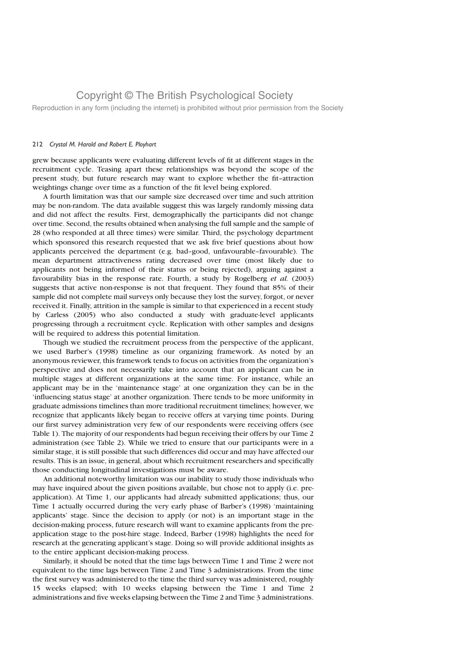Reproduction in any form (including the internet) is prohibited without prior permission from the Society

#### 212 Crystal M. Harold and Robert E. Ployhart

grew because applicants were evaluating different levels of fit at different stages in the recruitment cycle. Teasing apart these relationships was beyond the scope of the present study, but future research may want to explore whether the fit–attraction weightings change over time as a function of the fit level being explored.

A fourth limitation was that our sample size decreased over time and such attrition may be non-random. The data available suggest this was largely randomly missing data and did not affect the results. First, demographically the participants did not change over time. Second, the results obtained when analysing the full sample and the sample of 28 (who responded at all three times) were similar. Third, the psychology department which sponsored this research requested that we ask five brief questions about how applicants perceived the department (e.g. bad–good, unfavourable–favourable). The mean department attractiveness rating decreased over time (most likely due to applicants not being informed of their status or being rejected), arguing against a favourability bias in the response rate. Fourth, a study by Rogelberg et al. (2003) suggests that active non-response is not that frequent. They found that 85% of their sample did not complete mail surveys only because they lost the survey, forgot, or never received it. Finally, attrition in the sample is similar to that experienced in a recent study by Carless (2005) who also conducted a study with graduate-level applicants progressing through a recruitment cycle. Replication with other samples and designs will be required to address this potential limitation.

Though we studied the recruitment process from the perspective of the applicant, we used Barber's (1998) timeline as our organizing framework. As noted by an anonymous reviewer, this framework tends to focus on activities from the organization's perspective and does not necessarily take into account that an applicant can be in multiple stages at different organizations at the same time. For instance, while an applicant may be in the 'maintenance stage' at one organization they can be in the 'influencing status stage' at another organization. There tends to be more uniformity in graduate admissions timelines than more traditional recruitment timelines; however, we recognize that applicants likely began to receive offers at varying time points. During our first survey administration very few of our respondents were receiving offers (see Table 1). The majority of our respondents had begun receiving their offers by our Time 2 administration (see Table 2). While we tried to ensure that our participants were in a similar stage, it is still possible that such differences did occur and may have affected our results. This is an issue, in general, about which recruitment researchers and specifically those conducting longitudinal investigations must be aware.

An additional noteworthy limitation was our inability to study those individuals who may have inquired about the given positions available, but chose not to apply (i.e. preapplication). At Time 1, our applicants had already submitted applications; thus, our Time 1 actually occurred during the very early phase of Barber's (1998) 'maintaining applicants' stage. Since the decision to apply (or not) is an important stage in the decision-making process, future research will want to examine applicants from the preapplication stage to the post-hire stage. Indeed, Barber (1998) highlights the need for research at the generating applicant's stage. Doing so will provide additional insights as to the entire applicant decision-making process.

Similarly, it should be noted that the time lags between Time 1 and Time 2 were not equivalent to the time lags between Time 2 and Time 3 administrations. From the time the first survey was administered to the time the third survey was administered, roughly 15 weeks elapsed; with 10 weeks elapsing between the Time 1 and Time 2 administrations and five weeks elapsing between the Time 2 and Time 3 administrations.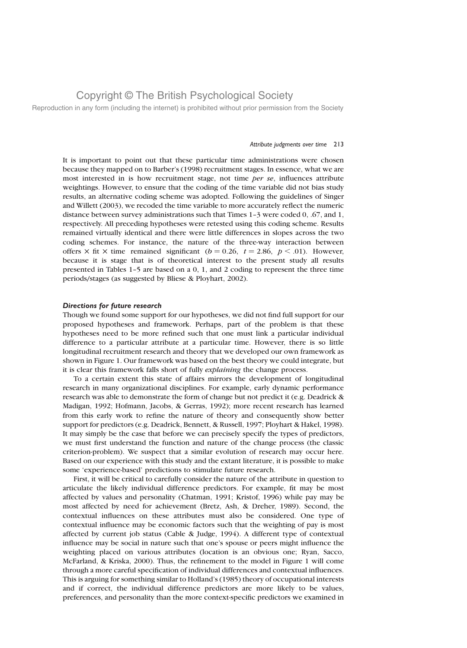Reproduction in any form (including the internet) is prohibited without prior permission from the Society

#### Attribute judgments over time 213

It is important to point out that these particular time administrations were chosen because they mapped on to Barber's (1998) recruitment stages. In essence, what we are most interested in is how recruitment stage, not time per se, influences attribute weightings. However, to ensure that the coding of the time variable did not bias study results, an alternative coding scheme was adopted. Following the guidelines of Singer and Willett (2003), we recoded the time variable to more accurately reflect the numeric distance between survey administrations such that Times 1–3 were coded 0, .67, and 1, respectively. All preceding hypotheses were retested using this coding scheme. Results remained virtually identical and there were little differences in slopes across the two coding schemes. For instance, the nature of the three-way interaction between offers  $\times$  fit  $\times$  time remained significant ( $b = 0.26$ ,  $t = 2.86$ ,  $p < .01$ ). However, because it is stage that is of theoretical interest to the present study all results presented in Tables 1–5 are based on a 0, 1, and 2 coding to represent the three time periods/stages (as suggested by Bliese & Ployhart, 2002).

#### Directions for future research

Though we found some support for our hypotheses, we did not find full support for our proposed hypotheses and framework. Perhaps, part of the problem is that these hypotheses need to be more refined such that one must link a particular individual difference to a particular attribute at a particular time. However, there is so little longitudinal recruitment research and theory that we developed our own framework as shown in Figure 1. Our framework was based on the best theory we could integrate, but it is clear this framework falls short of fully explaining the change process.

To a certain extent this state of affairs mirrors the development of longitudinal research in many organizational disciplines. For example, early dynamic performance research was able to demonstrate the form of change but not predict it (e.g. Deadrick & Madigan, 1992; Hofmann, Jacobs, & Gerras, 1992); more recent research has learned from this early work to refine the nature of theory and consequently show better support for predictors (e.g. Deadrick, Bennett, & Russell, 1997; Ployhart & Hakel, 1998). It may simply be the case that before we can precisely specify the types of predictors, we must first understand the function and nature of the change process (the classic criterion-problem). We suspect that a similar evolution of research may occur here. Based on our experience with this study and the extant literature, it is possible to make some 'experience-based' predictions to stimulate future research.

First, it will be critical to carefully consider the nature of the attribute in question to articulate the likely individual difference predictors. For example, fit may be most affected by values and personality (Chatman, 1991; Kristof, 1996) while pay may be most affected by need for achievement (Bretz, Ash, & Dreher, 1989). Second, the contextual influences on these attributes must also be considered. One type of contextual influence may be economic factors such that the weighting of pay is most affected by current job status (Cable & Judge, 1994). A different type of contextual influence may be social in nature such that one's spouse or peers might influence the weighting placed on various attributes (location is an obvious one; Ryan, Sacco, McFarland, & Kriska, 2000). Thus, the refinement to the model in Figure 1 will come through a more careful specification of individual differences and contextual influences. This is arguing for something similar to Holland's (1985) theory of occupational interests and if correct, the individual difference predictors are more likely to be values, preferences, and personality than the more context-specific predictors we examined in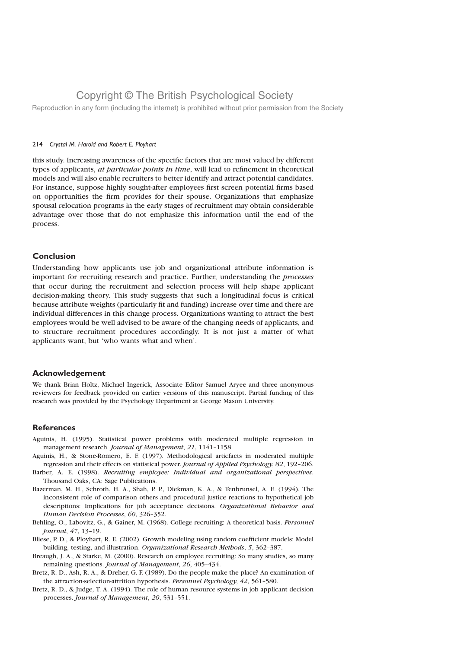Reproduction in any form (including the internet) is prohibited without prior permission from the Society

#### 214 Crystal M. Harold and Robert E. Ployhart

this study. Increasing awareness of the specific factors that are most valued by different types of applicants, at particular points in time, will lead to refinement in theoretical models and will also enable recruiters to better identify and attract potential candidates. For instance, suppose highly sought-after employees first screen potential firms based on opportunities the firm provides for their spouse. Organizations that emphasize spousal relocation programs in the early stages of recruitment may obtain considerable advantage over those that do not emphasize this information until the end of the process.

### Conclusion

Understanding how applicants use job and organizational attribute information is important for recruiting research and practice. Further, understanding the processes that occur during the recruitment and selection process will help shape applicant decision-making theory. This study suggests that such a longitudinal focus is critical because attribute weights (particularly fit and funding) increase over time and there are individual differences in this change process. Organizations wanting to attract the best employees would be well advised to be aware of the changing needs of applicants, and to structure recruitment procedures accordingly. It is not just a matter of what applicants want, but 'who wants what and when'.

### Acknowledgement

We thank Brian Holtz, Michael Ingerick, Associate Editor Samuel Aryee and three anonymous reviewers for feedback provided on earlier versions of this manuscript. Partial funding of this research was provided by the Psychology Department at George Mason University.

### **References**

- Aguinis, H. (1995). Statistical power problems with moderated multiple regression in management research. Journal of Management, 21, 1141–1158.
- Aguinis, H., & Stone-Romero, E. F. (1997). Methodological articfacts in moderated multiple regression and their effects on statistical power. Journal of Applied Psychology, 82, 192–206.
- Barber, A. E. (1998). Recruiting employee: Individual and organizational perspectives. Thousand Oaks, CA: Sage Publications.
- Bazerman, M. H., Schroth, H. A., Shah, P. P., Diekman, K. A., & Tenbrunsel, A. E. (1994). The inconsistent role of comparison others and procedural justice reactions to hypothetical job descriptions: Implications for job acceptance decisions. Organizational Behavior and Human Decision Processes, 60, 326–352.
- Behling, O., Labovitz, G., & Gainer, M. (1968). College recruiting: A theoretical basis. Personnel Journal, 47, 13–19.
- Bliese, P. D., & Ployhart, R. E. (2002). Growth modeling using random coefficient models: Model building, testing, and illustration. Organizational Research Methods, 5, 362-387.
- Breaugh, J. A., & Starke, M. (2000). Research on employee recruiting: So many studies, so many remaining questions. Journal of Management, 26, 405–434.
- Bretz, R. D., Ash, R. A., & Dreher, G. F. (1989). Do the people make the place? An examination of the attraction-selection-attrition hypothesis. Personnel Psychology, 42, 561–580.
- Bretz, R. D., & Judge, T. A. (1994). The role of human resource systems in job applicant decision processes. Journal of Management, 20, 531–551.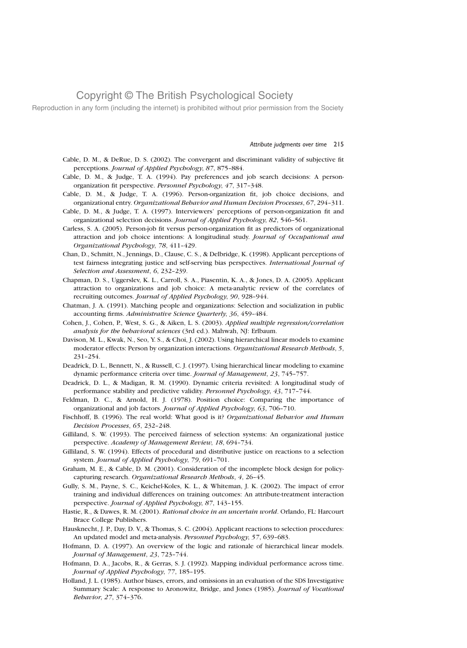Reproduction in any form (including the internet) is prohibited without prior permission from the Society

#### Attribute judgments over time 215

- Cable, D. M., & DeRue, D. S. (2002). The convergent and discriminant validity of subjective fit perceptions. Journal of Applied Psychology, 87, 875–884.
- Cable, D. M., & Judge, T. A. (1994). Pay preferences and job search decisions: A personorganization fit perspective. Personnel Psychology, 47, 317–348.
- Cable, D. M., & Judge, T. A. (1996). Person-organization fit, job choice decisions, and organizational entry. Organizational Behavior and Human Decision Processes, 67, 294–311.
- Cable, D. M., & Judge, T. A. (1997). Interviewers' perceptions of person-organization fit and organizational selection decisions. Journal of Applied Psychology, 82, 546–561.
- Carless, S. A. (2005). Person-job fit versus person-organization fit as predictors of organizational attraction and job choice intentions: A longitudinal study. Journal of Occupational and Organizational Psychology, 78, 411–429.
- Chan, D., Schmitt, N., Jennings, D., Clause, C. S., & Delbridge, K. (1998). Applicant perceptions of test fairness integrating justice and self-serving bias perspectives. International Journal of Selection and Assessment, 6, 232–239.
- Chapman, D. S., Uggerslev, K. L., Carroll, S. A., Piasentin, K. A., & Jones, D. A. (2005). Applicant attraction to organizations and job choice: A meta-analytic review of the correlates of recruiting outcomes. Journal of Applied Psychology, 90, 928–944.
- Chatman, J. A. (1991). Matching people and organizations: Selection and socialization in public accounting firms. Administrative Science Quarterly, 36, 459–484.
- Cohen, J., Cohen, P., West, S. G., & Aiken, L. S. (2003). Applied multiple regression/correlation analysis for the behavioral sciences (3rd ed.). Mahwah, NJ: Erlbaum.
- Davison, M. L., Kwak, N., Seo, Y. S., & Choi, J. (2002). Using hierarchical linear models to examine moderator effects: Person by organization interactions. Organizational Research Methods, 5, 231–254.
- Deadrick, D. L., Bennett, N., & Russell, C. J. (1997). Using hierarchical linear modeling to examine dynamic performance criteria over time. Journal of Management, 23, 745–757.
- Deadrick, D. L., & Madigan, R. M. (1990). Dynamic criteria revisited: A longitudinal study of performance stability and predictive validity. Personnel Psychology, 43, 717–744.
- Feldman, D. C., & Arnold, H. J. (1978). Position choice: Comparing the importance of organizational and job factors. Journal of Applied Psychology, 63, 706–710.
- Fischhoff, B. (1996). The real world: What good is it? Organizational Behavior and Human Decision Processes, 65, 232–248.
- Gilliland, S. W. (1993). The perceived fairness of selection systems: An organizational justice perspective. Academy of Management Review, 18, 694–734.
- Gilliland, S. W. (1994). Effects of procedural and distributive justice on reactions to a selection system. Journal of Applied Psychology, 79, 691–701.
- Graham, M. E., & Cable, D. M. (2001). Consideration of the incomplete block design for policycapturing research. Organizational Research Methods, 4, 26–45.
- Gully, S. M., Payne, S. C., Keichel-Koles, K. L., & Whiteman, J. K. (2002). The impact of error training and individual differences on training outcomes: An attribute-treatment interaction perspective. Journal of Applied Psychology, 87, 143–155.
- Hastie, R., & Dawes, R. M. (2001). Rational choice in an uncertain world. Orlando, FL: Harcourt Brace College Publishers.
- Hausknecht, J. P., Day, D. V., & Thomas, S. C. (2004). Applicant reactions to selection procedures: An updated model and meta-analysis. Personnel Psychology, 57, 639-683.
- Hofmann, D. A. (1997). An overview of the logic and rationale of hierarchical linear models. Journal of Management, 23, 723–744.
- Hofmann, D. A., Jacobs, R., & Gerras, S. J. (1992). Mapping individual performance across time. Journal of Applied Psychology, 77, 185–195.
- Holland, J. L. (1985). Author biases, errors, and omissions in an evaluation of the SDS Investigative Summary Scale: A response to Aronowitz, Bridge, and Jones (1985). Journal of Vocational Behavior, 27, 374–376.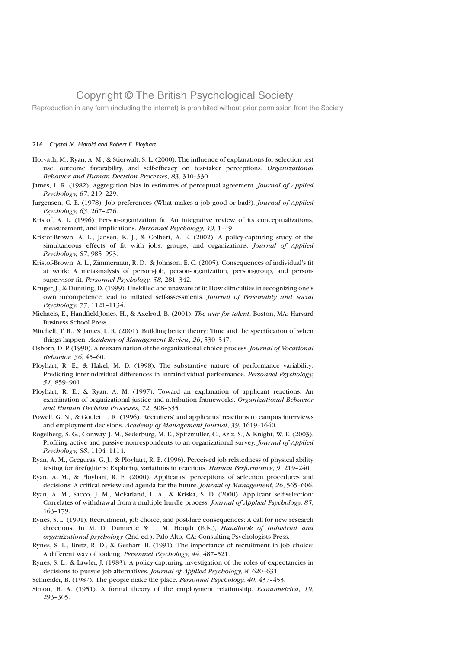Reproduction in any form (including the internet) is prohibited without prior permission from the Society

### 216 Crystal M. Harold and Robert E. Ployhart

- Horvath, M., Ryan, A. M., & Stierwalt, S. L. (2000). The influence of explanations for selection test use, outcome favorability, and self-efficacy on test-taker perceptions. Organizational Behavior and Human Decision Processes, 83, 310–330.
- James, L. R. (1982). Aggregation bias in estimates of perceptual agreement. Journal of Applied Psychology, 67, 219–229.
- Jurgensen, C. E. (1978). Job preferences (What makes a job good or bad?). Journal of Applied Psychology, 63, 267–276.
- Kristof, A. L. (1996). Person-organization fit: An integrative review of its conceptualizations, measurement, and implications. Personnel Psychology, 49, 1–49.
- Kristof-Brown, A. L., Jansen, K. J., & Colbert, A. E. (2002). A policy-capturing study of the simultaneous effects of fit with jobs, groups, and organizations. Journal of Applied Psychology, 87, 985–993.
- Kristof-Brown, A. L., Zimmerman, R. D., & Johnson, E. C. (2005). Consequences of individual's fit at work: A meta-analysis of person-job, person-organization, person-group, and personsupervisor fit. Personnel Psychology, 58, 281–342.
- Kruger, J., & Dunning, D. (1999). Unskilled and unaware of it: How difficulties in recognizing one's own incompetence lead to inflated self-assessments. Journal of Personality and Social Psychology, 77, 1121–1134.
- Michaels, E., Handfield-Jones, H., & Axelrod, B. (2001). The war for talent. Boston, MA: Harvard Business School Press.
- Mitchell, T. R., & James, L. R. (2001). Building better theory: Time and the specification of when things happen. Academy of Management Review, 26, 530–547.
- Osborn, D. P. (1990). A reexamination of the organizational choice process. Journal of Vocational Behavior, 36, 45–60.
- Ployhart, R. E., & Hakel, M. D. (1998). The substantive nature of performance variability: Predicting interindividual differences in intraindividual performance. Personnel Psychology, 51, 859–901.
- Ployhart, R. E., & Ryan, A. M. (1997). Toward an explanation of applicant reactions: An examination of organizational justice and attribution frameworks. Organizational Behavior and Human Decision Processes, 72, 308–335.
- Powell, G. N., & Goulet, L. R. (1996). Recruiters' and applicants' reactions to campus interviews and employment decisions. Academy of Management Journal, 39, 1619–1640.
- Rogelberg, S. G., Conway, J. M., Sederburg, M. E., Spitzmuller, C., Aziz, S., & Knight, W. E. (2003). Profiling active and passive nonrespondents to an organizational survey. Journal of Applied Psychology, 88, 1104–1114.
- Ryan, A. M., Greguras, G. J., & Ployhart, R. E. (1996). Perceived job relatedness of physical ability testing for firefighters: Exploring variations in reactions. Human Performance, 9, 219–240.
- Ryan, A. M., & Ployhart, R. E. (2000). Applicants' perceptions of selection procedures and decisions: A critical review and agenda for the future. Journal of Management, 26, 565–606.
- Ryan, A. M., Sacco, J. M., McFarland, L. A., & Kriska, S. D. (2000). Applicant self-selection: Correlates of withdrawal from a multiple hurdle process. Journal of Applied Psychology, 85, 163–179.
- Rynes, S. L. (1991). Recruitment, job choice, and post-hire consequences: A call for new research directions. In M. D. Dunnette & L. M. Hough (Eds.), Handbook of industrial and organizational psychology (2nd ed.). Palo Alto, CA: Consulting Psychologists Press.
- Rynes, S. L., Bretz, R. D., & Gerhart, B. (1991). The importance of recruitment in job choice: A different way of looking. Personnel Psychology, 44, 487–521.
- Rynes, S. L., & Lawler, J. (1983). A policy-capturing investigation of the roles of expectancies in decisions to pursue job alternatives. Journal of Applied Psychology, 8, 620–631.
- Schneider, B. (1987). The people make the place. *Personnel Psychology*, 40, 437-453.
- Simon, H. A. (1951). A formal theory of the employment relationship. Econometrica, 19, 293–305.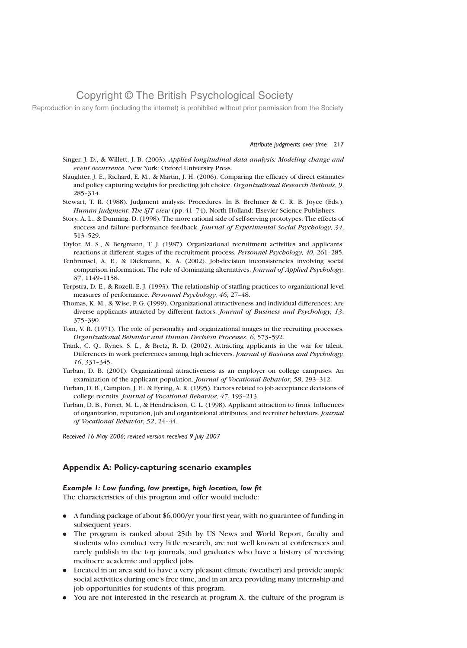Reproduction in any form (including the internet) is prohibited without prior permission from the Society

#### Attribute judgments over time 217

- Singer, J. D., & Willett, J. B. (2003). Applied longitudinal data analysis: Modeling change and event occurrence. New York: Oxford University Press.
- Slaughter, J. E., Richard, E. M., & Martin, J. H. (2006). Comparing the efficacy of direct estimates and policy capturing weights for predicting job choice. Organizational Research Methods, 9, 285–314.
- Stewart, T. R. (1988). Judgment analysis: Procedures. In B. Brehmer & C. R. B. Joyce (Eds.), Human judgment: The SJT view (pp. 41-74). North Holland: Elsevier Science Publishers.
- Story, A. L., & Dunning, D. (1998). The more rational side of self-serving prototypes: The effects of success and failure performance feedback. Journal of Experimental Social Psychology, 34, 513–529.
- Taylor, M. S., & Bergmann, T. J. (1987). Organizational recruitment activities and applicants' reactions at different stages of the recruitment process. Personnel Psychology, 40, 261–285.
- Tenbrunsel, A. E., & Diekmann, K. A. (2002). Job-decision inconsistencies involving social comparison information: The role of dominating alternatives. Journal of Applied Psychology, 87, 1149–1158.
- Terpstra, D. E., & Rozell, E. J. (1993). The relationship of staffing practices to organizational level measures of performance. Personnel Psychology, 46, 27–48.
- Thomas, K. M., & Wise, P. G. (1999). Organizational attractiveness and individual differences: Are diverse applicants attracted by different factors. Journal of Business and Psychology, 13, 375–390.
- Tom, V. R. (1971). The role of personality and organizational images in the recruiting processes. Organizational Behavior and Human Decision Processes, 6, 573–592.
- Trank, C. Q., Rynes, S. L., & Bretz, R. D. (2002). Attracting applicants in the war for talent: Differences in work preferences among high achievers. Journal of Business and Psychology, 16, 331–345.
- Turban, D. B. (2001). Organizational attractiveness as an employer on college campuses: An examination of the applicant population. Journal of Vocational Behavior, 58, 293–312.
- Turban, D. B., Campion, J. E., & Eyring, A. R. (1995). Factors related to job acceptance decisions of college recruits. Journal of Vocational Behavior, 47, 193–213.
- Turban, D. B., Forret, M. L., & Hendrickson, C. L. (1998). Applicant attraction to firms: Influences of organization, reputation, job and organizational attributes, and recruiter behaviors. Journal of Vocational Behavior, 52, 24–44.

Received 16 May 2006; revised version received 9 July 2007

### Appendix A: Policy-capturing scenario examples

### Example 1: Low funding, low prestige, high location, low fit

The characteristics of this program and offer would include:

- . A funding package of about \$6,000/yr your first year, with no guarantee of funding in subsequent years.
- . The program is ranked about 25th by US News and World Report, faculty and students who conduct very little research, are not well known at conferences and rarely publish in the top journals, and graduates who have a history of receiving mediocre academic and applied jobs.
- . Located in an area said to have a very pleasant climate (weather) and provide ample social activities during one's free time, and in an area providing many internship and job opportunities for students of this program.
- . You are not interested in the research at program X, the culture of the program is